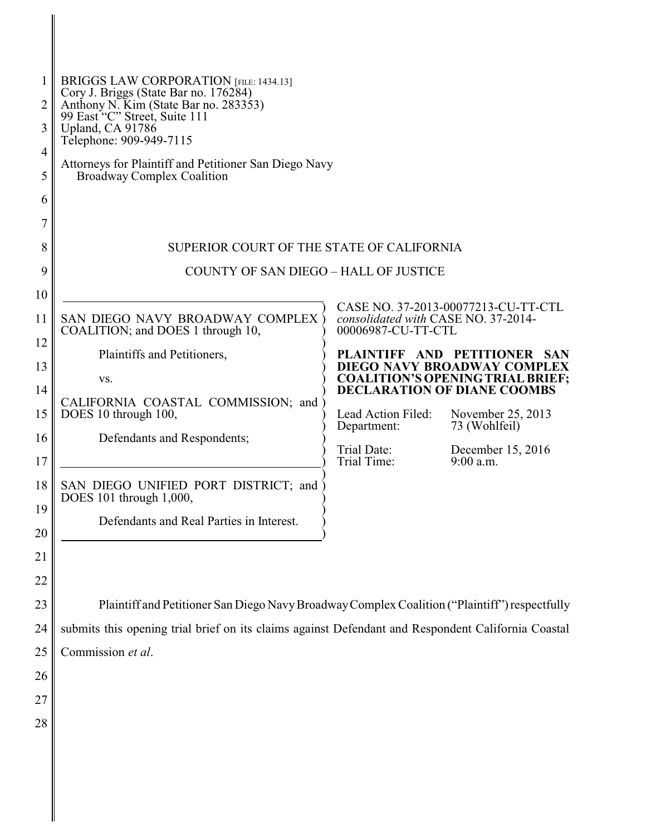| 2<br>3<br>$\overline{4}$<br>5<br>6                                               | <b>BRIGGS LAW CORPORATION [FILE: 1434.13]</b><br>Cory J. Briggs (State Bar no. 176284)<br>Anthony N. Kim (State Bar no. 283353)<br>99 East "C" Street, Suite 111<br>Upland, CA 91786<br>Telephone: 909-949-7115<br>Attorneys for Plaintiff and Petitioner San Diego Navy<br><b>Broadway Complex Coalition</b>                                                          |                                                                                                                              |                                                                                                                                                                                                                                                               |  |
|----------------------------------------------------------------------------------|------------------------------------------------------------------------------------------------------------------------------------------------------------------------------------------------------------------------------------------------------------------------------------------------------------------------------------------------------------------------|------------------------------------------------------------------------------------------------------------------------------|---------------------------------------------------------------------------------------------------------------------------------------------------------------------------------------------------------------------------------------------------------------|--|
| 8                                                                                | SUPERIOR COURT OF THE STATE OF CALIFORNIA                                                                                                                                                                                                                                                                                                                              |                                                                                                                              |                                                                                                                                                                                                                                                               |  |
| 9<br>10<br>11<br>12<br>13<br>14<br>15<br>16<br>17<br>18 <sup>1</sup><br>19<br>20 | <b>COUNTY OF SAN DIEGO - HALL OF JUSTICE</b><br>SAN DIEGO NAVY BROADWAY COMPLEX<br>COALITION; and DOES 1 through 10,<br>Plaintiffs and Petitioners,<br>VS.<br>CALIFORNIA COASTAL COMMISSION; and<br>DOES 10 through 100,<br>Defendants and Respondents;<br>SAN DIEGO UNIFIED PORT DISTRICT; and<br>DOES 101 through 1,000,<br>Defendants and Real Parties in Interest. | consolidated with CASE NO. 37-2014-<br>00006987-CU-TT-CTL<br>Lead Action Filed:<br>Department:<br>Trial Date:<br>Trial Time: | CASE NO. 37-2013-00077213-CU-TT-CTL<br>PLAINTIFF AND PETITIONER SAN<br>DIEGO NAVY BROADWAY COMPLEX<br><b>COALITION'S OPENING TRIAL BRIEF;</b><br><b>DECLARATION OF DIANE COOMBS</b><br>November 25, 2013<br>73 (Wohlfeil)<br>December 15, 2016<br>$9:00$ a.m. |  |
| 21<br>22<br>23<br>24<br>25<br>26<br>27<br>28                                     | Plaintiff and Petitioner San Diego Navy Broadway Complex Coalition ("Plaintiff") respectfully<br>submits this opening trial brief on its claims against Defendant and Respondent California Coastal<br>Commission et al.                                                                                                                                               |                                                                                                                              |                                                                                                                                                                                                                                                               |  |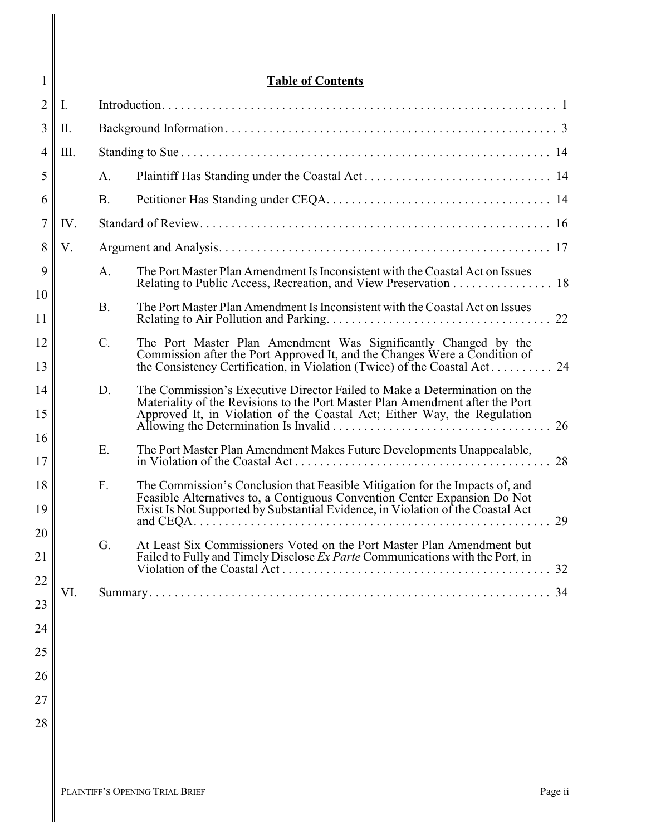| 1              |      | <b>Table of Contents</b> |                                                                                                                                                                                                                                              |  |  |
|----------------|------|--------------------------|----------------------------------------------------------------------------------------------------------------------------------------------------------------------------------------------------------------------------------------------|--|--|
| $\overline{2}$ | I.   |                          |                                                                                                                                                                                                                                              |  |  |
| 3              | Π.   |                          |                                                                                                                                                                                                                                              |  |  |
| 4              | III. |                          |                                                                                                                                                                                                                                              |  |  |
| 5              |      | A.                       |                                                                                                                                                                                                                                              |  |  |
| 6              |      | <b>B.</b>                |                                                                                                                                                                                                                                              |  |  |
| 7              | IV.  |                          |                                                                                                                                                                                                                                              |  |  |
| 8              | V.   |                          |                                                                                                                                                                                                                                              |  |  |
| 9              |      | A.                       | The Port Master Plan Amendment Is Inconsistent with the Coastal Act on Issues<br>Relating to Public Access, Recreation, and View Preservation 18                                                                                             |  |  |
| 10<br>11       |      | <b>B.</b>                | The Port Master Plan Amendment Is Inconsistent with the Coastal Act on Issues<br>22                                                                                                                                                          |  |  |
| 12<br>13       |      | $C$ .                    | The Port Master Plan Amendment Was Significantly Changed by the<br>Commission after the Port Approved It, and the Changes Were a Condition of                                                                                                |  |  |
| 14<br>15       |      | D.                       | The Commission's Executive Director Failed to Make a Determination on the<br>Materiality of the Revisions to the Port Master Plan Amendment after the Port<br>Approved It, in Violation of the Coastal Act; Either Way, the Regulation<br>26 |  |  |
| 16<br>17       |      | E.                       | The Port Master Plan Amendment Makes Future Developments Unappealable,<br>28                                                                                                                                                                 |  |  |
| 18<br>19       |      | F.                       | The Commission's Conclusion that Feasible Mitigation for the Impacts of, and<br>Feasible Alternatives to, a Contiguous Convention Center Expansion Do Not<br>Exist Is Not Supported by Substantial Evidence, in Violation of the Coastal Act |  |  |
| 20<br>21       |      | G.                       | 29<br>At Least Six Commissioners Voted on the Port Master Plan Amendment but<br>Failed to Fully and Timely Disclose Ex Parte Communications with the Port, in                                                                                |  |  |
| 22             |      |                          | 32                                                                                                                                                                                                                                           |  |  |
| 23             | VI.  |                          | 34                                                                                                                                                                                                                                           |  |  |
|                |      |                          |                                                                                                                                                                                                                                              |  |  |
| 24             |      |                          |                                                                                                                                                                                                                                              |  |  |
| 25             |      |                          |                                                                                                                                                                                                                                              |  |  |
| 26             |      |                          |                                                                                                                                                                                                                                              |  |  |
| 27             |      |                          |                                                                                                                                                                                                                                              |  |  |
| 28             |      |                          |                                                                                                                                                                                                                                              |  |  |

 $\mathbf{I}$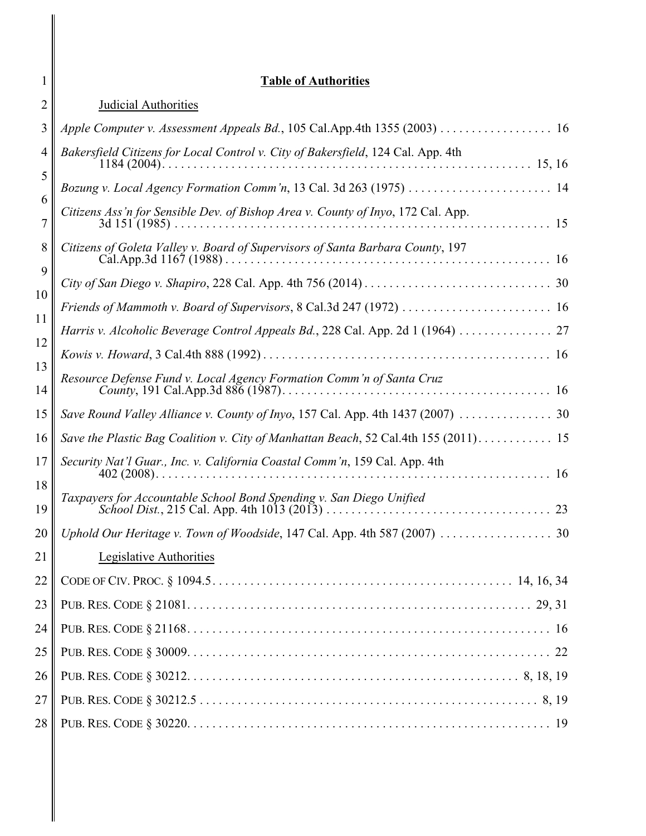| 1              | <b>Table of Authorities</b>                                                                                                                                             |
|----------------|-------------------------------------------------------------------------------------------------------------------------------------------------------------------------|
| 2              | Judicial Authorities                                                                                                                                                    |
| 3              | Apple Computer v. Assessment Appeals Bd., 105 Cal.App.4th 1355 (2003) 16                                                                                                |
| 4<br>5<br>6    | Bakersfield Citizens for Local Control v. City of Bakersfield, 124 Cal. App. 4th<br>Citizens Ass'n for Sensible Dev. of Bishop Area v. County of Inyo, 172 Cal. App.    |
| 7<br>8<br>9    | Citizens of Goleta Valley v. Board of Supervisors of Santa Barbara County, 197                                                                                          |
| 10<br>11<br>12 | Friends of Mammoth v. Board of Supervisors, 8 Cal.3d 247 (1972)  16<br>Harris v. Alcoholic Beverage Control Appeals Bd., 228 Cal. App. 2d 1 (1964)  27                  |
| 13<br>14       | Resource Defense Fund v. Local Agency Formation Comm'n of Santa Cruz                                                                                                    |
| 15<br>16       | Save Round Valley Alliance v. County of Inyo, 157 Cal. App. 4th 1437 (2007)  30<br>Save the Plastic Bag Coalition v. City of Manhattan Beach, 52 Cal.4th 155 (2011). 15 |
| 17<br>18<br>19 | Security Nat'l Guar., Inc. v. California Coastal Comm'n, 159 Cal. App. 4th<br>Taxpayers for Accountable School Bond Spending v. San Diego Unified                       |
| 20             |                                                                                                                                                                         |
| 21<br>22       | <b>Legislative Authorities</b>                                                                                                                                          |
| 23<br>24       |                                                                                                                                                                         |
| 25<br>26       |                                                                                                                                                                         |
| 27<br>28       |                                                                                                                                                                         |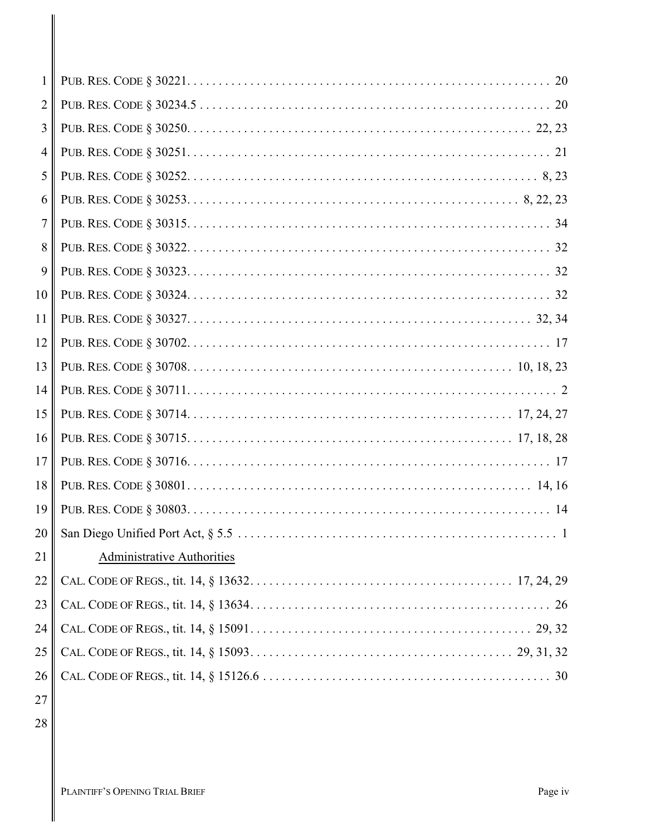| 1              |                                   |
|----------------|-----------------------------------|
| $\overline{2}$ |                                   |
| $\overline{3}$ |                                   |
| $\overline{4}$ |                                   |
| 5              |                                   |
| 6              |                                   |
| 7              |                                   |
| 8              |                                   |
| 9              |                                   |
| 10             |                                   |
| 11             |                                   |
| 12             |                                   |
| 13             |                                   |
| 14             |                                   |
| 15             |                                   |
| 16             |                                   |
| 17             |                                   |
| 18             |                                   |
| 19             |                                   |
| 20             |                                   |
| 21             | <b>Administrative Authorities</b> |
| 22             |                                   |
| 23             |                                   |
| 24             |                                   |
| 25             |                                   |
| 26             |                                   |
| 27             |                                   |

28

 $\mathbf{I}$ 

PLAINTIFF'S OPENING TRIAL BRIEF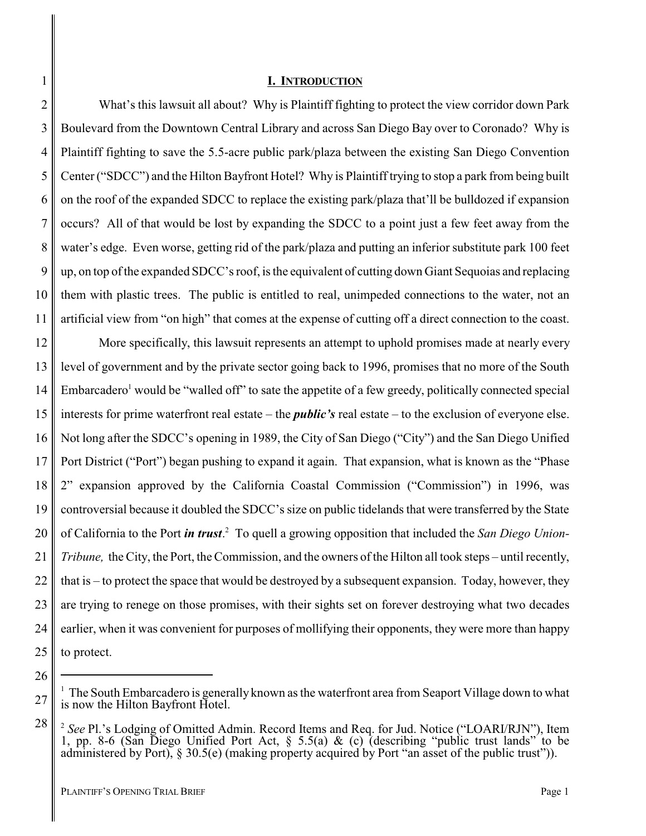#### <span id="page-4-0"></span>**I. INTRODUCTION**

What's this lawsuit all about? Why is Plaintiff fighting to protect the view corridor down Park Boulevard from the Downtown Central Library and across San Diego Bay over to Coronado? Why is Plaintiff fighting to save the 5.5-acre public park/plaza between the existing San Diego Convention Center ("SDCC") and the Hilton Bayfront Hotel? Why is Plaintiff trying to stop a park from being built on the roof of the expanded SDCC to replace the existing park/plaza that'll be bulldozed if expansion occurs? All of that would be lost by expanding the SDCC to a point just a few feet away from the water's edge. Even worse, getting rid of the park/plaza and putting an inferior substitute park 100 feet up, on top of the expanded SDCC's roof, is the equivalent of cutting down Giant Sequoias and replacing them with plastic trees. The public is entitled to real, unimpeded connections to the water, not an artificial view from "on high" that comes at the expense of cutting off a direct connection to the coast.

12 13 14 15 16 17 18 19 20 21 22 23 24 25 More specifically, this lawsuit represents an attempt to uphold promises made at nearly every level of government and by the private sector going back to 1996, promises that no more of the South Embarcadero<sup>1</sup> would be "walled off" to sate the appetite of a few greedy, politically connected special interests for prime waterfront real estate – the *public's* real estate – to the exclusion of everyone else. Not long after the SDCC's opening in 1989, the City of San Diego ("City") and the San Diego Unified Port District ("Port") began pushing to expand it again. That expansion, what is known as the "Phase 2" expansion approved by the California Coastal Commission ("Commission") in 1996, was controversial because it doubled the SDCC's size on public tidelands that were transferred by the State of California to the Port *in trust*. <sup>2</sup> To quell a growing opposition that included the *San Diego Union-Tribune,* the City, the Port, the Commission, and the owners of the Hilton all took steps – until recently, that is – to protect the space that would be destroyed by a subsequent expansion. Today, however, they are trying to renege on those promises, with their sights set on forever destroying what two decades earlier, when it was convenient for purposes of mollifying their opponents, they were more than happy to protect.

1

2

3

4

5

6

7

8

9

10

<sup>26</sup> 27

 $1$  The South Embarcadero is generally known as the waterfront area from Seaport Village down to what is now the Hilton Bayfront Hotel.

<sup>28</sup> <sup>2</sup> See Pl.'s Lodging of Omitted Admin. Record Items and Req. for Jud. Notice ("LOARI/RJN"), Item 1, pp. 8-6 (San Diego Unified Port Act, § 5.5(a) & (c) (describing "public trust lands" to be administered by Port), § 30.5(e) (making property acquired by Port "an asset of the public trust")).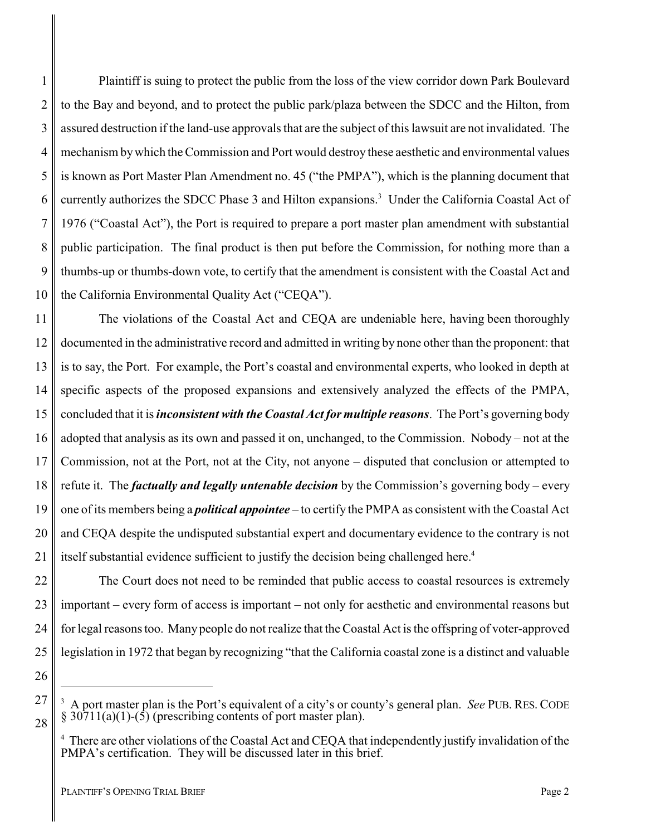1 2 3 4 5 6 7 8 9 10 Plaintiff is suing to protect the public from the loss of the view corridor down Park Boulevard to the Bay and beyond, and to protect the public park/plaza between the SDCC and the Hilton, from assured destruction if the land-use approvals that are the subject of this lawsuit are not invalidated. The mechanism bywhich the Commission and Port would destroy these aesthetic and environmental values is known as Port Master Plan Amendment no. 45 ("the PMPA"), which is the planning document that currently authorizes the SDCC Phase 3 and Hilton expansions.<sup>3</sup> Under the California Coastal Act of 1976 ("Coastal Act"), the Port is required to prepare a port master plan amendment with substantial public participation. The final product is then put before the Commission, for nothing more than a thumbs-up or thumbs-down vote, to certify that the amendment is consistent with the Coastal Act and the California Environmental Quality Act ("CEQA").

11 12 13 14 15 16 17 18 19 20 21 The violations of the Coastal Act and CEQA are undeniable here, having been thoroughly documented in the administrative record and admitted in writing by none other than the proponent: that is to say, the Port. For example, the Port's coastal and environmental experts, who looked in depth at specific aspects of the proposed expansions and extensively analyzed the effects of the PMPA, concluded that it is *inconsistent with the Coastal Act for multiple reasons*. The Port's governing body adopted that analysis as its own and passed it on, unchanged, to the Commission. Nobody – not at the Commission, not at the Port, not at the City, not anyone – disputed that conclusion or attempted to refute it. The *factually and legally untenable decision* by the Commission's governing body – every one of its members being a *political appointee* – to certify the PMPA as consistent with the Coastal Act and CEQA despite the undisputed substantial expert and documentary evidence to the contrary is not itself substantial evidence sufficient to justify the decision being challenged here.<sup>4</sup>

22 23 24 25 The Court does not need to be reminded that public access to coastal resources is extremely important – every form of access is important – not only for aesthetic and environmental reasons but for legal reasons too. Many people do not realize that the Coastal Act is the offspring of voter-approved legislation in 1972 that began by recognizing "that the California coastal zone is a distinct and valuable

26

27

<sup>3</sup> A port master plan is the Port's equivalent of a city's or county's general plan. *See* PUB. RES. CODE  $\S 30711(a)(1)-(5)$  (prescribing contents of port master plan).

<sup>&</sup>lt;sup>4</sup> There are other violations of the Coastal Act and CEQA that independently justify invalidation of the PMPA's certification. They will be discussed later in this brief.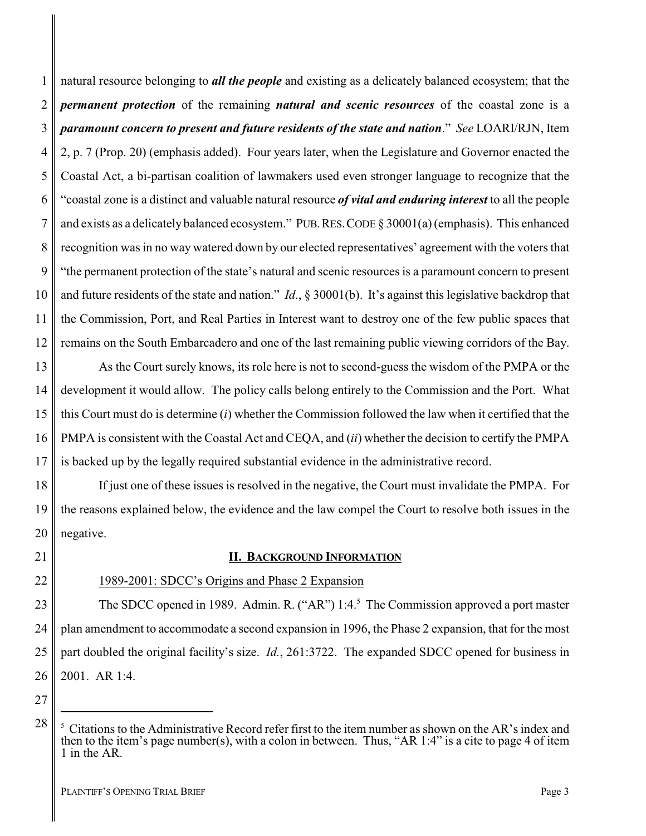1 2 3 4 5 6 7 8 9 10 11 12 natural resource belonging to *all the people* and existing as a delicately balanced ecosystem; that the *permanent protection* of the remaining *natural and scenic resources* of the coastal zone is a *paramount concern to present and future residents of the state and nation*." *See* LOARI/RJN, Item 2, p. 7 (Prop. 20) (emphasis added). Four years later, when the Legislature and Governor enacted the Coastal Act, a bi-partisan coalition of lawmakers used even stronger language to recognize that the "coastal zone is a distinct and valuable natural resource *of vital and enduring interest* to all the people and exists as a delicately balanced ecosystem." PUB.RES.CODE § 30001(a) (emphasis). This enhanced recognition was in no way watered down by our elected representatives' agreement with the voters that "the permanent protection of the state's natural and scenic resources is a paramount concern to present and future residents of the state and nation." *Id*., § 30001(b). It's against this legislative backdrop that the Commission, Port, and Real Parties in Interest want to destroy one of the few public spaces that remains on the South Embarcadero and one of the last remaining public viewing corridors of the Bay.

13 14 15 16 17 As the Court surely knows, its role here is not to second-guess the wisdom of the PMPA or the development it would allow. The policy calls belong entirely to the Commission and the Port. What this Court must do is determine (*i*) whether the Commission followed the law when it certified that the PMPA is consistent with the Coastal Act and CEQA, and (*ii*) whether the decision to certify the PMPA is backed up by the legally required substantial evidence in the administrative record.

18 19 20 If just one of these issues is resolved in the negative, the Court must invalidate the PMPA. For the reasons explained below, the evidence and the law compel the Court to resolve both issues in the negative.

#### <span id="page-6-0"></span>**II. BACKGROUND INFORMATION**

21 22

### 1989-2001: SDCC's Origins and Phase 2 Expansion

23 24 25 26 The SDCC opened in 1989. Admin. R. ("AR") 1:4.<sup>5</sup> The Commission approved a port master plan amendment to accommodate a second expansion in 1996, the Phase 2 expansion, that for the most part doubled the original facility's size. *Id.*, 261:3722. The expanded SDCC opened for business in 2001. AR 1:4.

<sup>5</sup> Citations to the Administrative Record refer first to the item number as shown on the AR's index and then to the item's page number(s), with a colon in between. Thus, "AR 1:4" is a cite to page 4 of item 1 in the AR.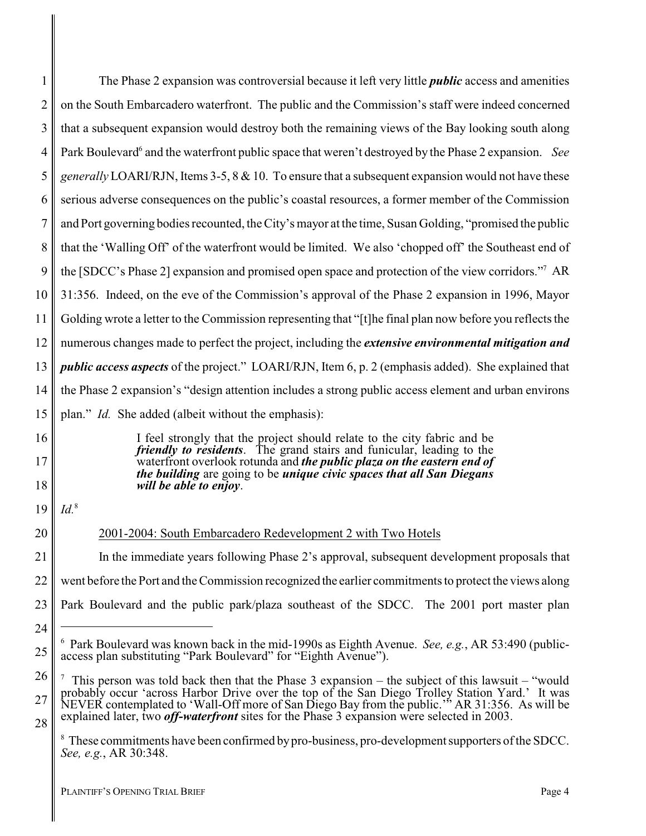| 1  | The Phase 2 expansion was controversial because it left very little <i>public</i> access and amenities                                                                                                                          |
|----|---------------------------------------------------------------------------------------------------------------------------------------------------------------------------------------------------------------------------------|
| 2  | on the South Embarcadero waterfront. The public and the Commission's staff were indeed concerned                                                                                                                                |
| 3  | that a subsequent expansion would destroy both the remaining views of the Bay looking south along                                                                                                                               |
| 4  | Park Boulevard <sup>6</sup> and the waterfront public space that weren't destroyed by the Phase 2 expansion. See                                                                                                                |
| 5  | <i>generally</i> LOARI/RJN, Items 3-5, 8 & 10. To ensure that a subsequent expansion would not have these                                                                                                                       |
| 6  | serious adverse consequences on the public's coastal resources, a former member of the Commission                                                                                                                               |
| 7  | and Port governing bodies recounted, the City's mayor at the time, Susan Golding, "promised the public                                                                                                                          |
| 8  | that the 'Walling Off' of the waterfront would be limited. We also 'chopped off' the Southeast end of                                                                                                                           |
| 9  | the [SDCC's Phase 2] expansion and promised open space and protection of the view corridors." <sup>7</sup> AR                                                                                                                   |
| 10 | 31:356. Indeed, on the eve of the Commission's approval of the Phase 2 expansion in 1996, Mayor                                                                                                                                 |
| 11 | Golding wrote a letter to the Commission representing that "[t]he final plan now before you reflects the                                                                                                                        |
| 12 | numerous changes made to perfect the project, including the <i>extensive environmental mitigation and</i>                                                                                                                       |
| 13 | <i>public access aspects</i> of the project." LOARI/RJN, Item 6, p. 2 (emphasis added). She explained that                                                                                                                      |
| 14 | the Phase 2 expansion's "design attention includes a strong public access element and urban environs                                                                                                                            |
| 15 | plan." <i>Id.</i> She added (albeit without the emphasis):                                                                                                                                                                      |
| 16 | I feel strongly that the project should relate to the city fabric and be                                                                                                                                                        |
| 17 | <i>friendly to residents.</i> The grand stairs and funicular, leading to the<br>waterfront overlook rotunda and the public plaza on the eastern end of<br>the building are going to be unique civic spaces that all San Diegans |
| 18 | will be able to enjoy.                                                                                                                                                                                                          |
| 19 | $Id.$ <sup>8</sup>                                                                                                                                                                                                              |
| 20 | 2001-2004: South Embarcadero Redevelopment 2 with Two Hotels                                                                                                                                                                    |
| 21 | In the immediate years following Phase 2's approval, subsequent development proposals that                                                                                                                                      |
| 22 | went before the Port and the Commission recognized the earlier commitments to protect the views along                                                                                                                           |
| 23 | Park Boulevard and the public park/plaza southeast of the SDCC. The 2001 port master plan                                                                                                                                       |
| 24 |                                                                                                                                                                                                                                 |
| 25 | $6$ Park Boulevard was known back in the mid-1990s as Eighth Avenue. See, e.g., AR 53:490 (public-<br>access plan substituting "Park Boulevard" for "Eighth Avenue").                                                           |
| 26 | This person was told back then that the Phase $3$ expansion – the subject of this lawsuit – "would                                                                                                                              |
| 27 | probably occur 'across Harbor Drive over the top of the San Diego Trolley Station Yard.' It was<br>NEVER contemplated to 'Wall-Off more of San Diego Bay from the public." AR 31:356. As will be                                |
| 28 | explained later, two <i>off-waterfront</i> sites for the Phase 3 expansion were selected in 2003.                                                                                                                               |
|    | <sup>8</sup> These commitments have been confirmed by pro-business, pro-development supporters of the SDCC.<br>See, e.g., AR 30:348.                                                                                            |

 $\mathbf{I}$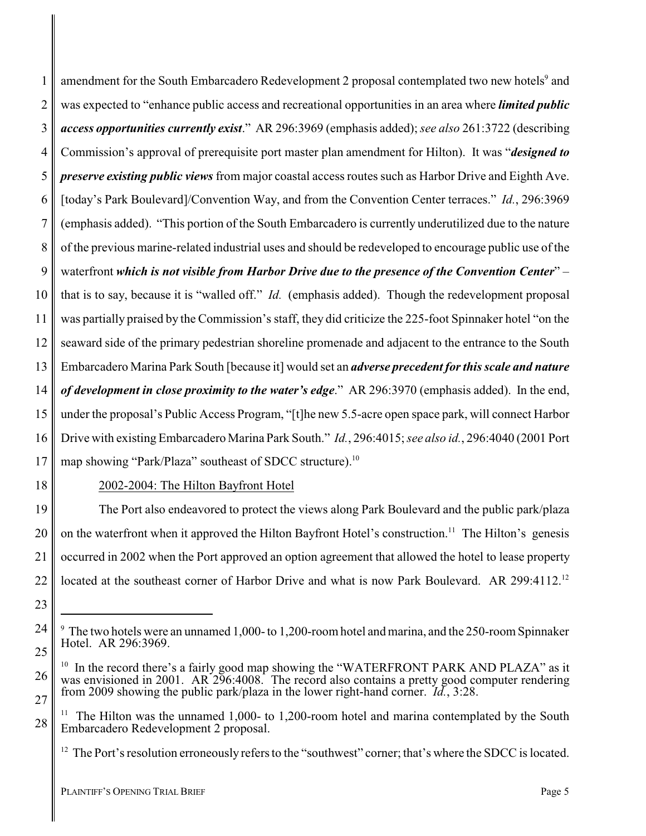1 2 3 4 5 6 7 8 9 10 11 12 13 14 15 16 17 amendment for the South Embarcadero Redevelopment 2 proposal contemplated two new hotels<sup>9</sup> and was expected to "enhance public access and recreational opportunities in an area where *limited public access opportunities currently exist*." AR 296:3969 (emphasis added); *see also* 261:3722 (describing Commission's approval of prerequisite port master plan amendment for Hilton). It was "*designed to preserve existing public views* from major coastal access routes such as Harbor Drive and Eighth Ave. [today's Park Boulevard]/Convention Way, and from the Convention Center terraces." *Id.*, 296:3969 (emphasis added). "This portion of the South Embarcadero is currently underutilized due to the nature of the previous marine-related industrial uses and should be redeveloped to encourage public use of the waterfront *which is not visible from Harbor Drive due to the presence of the Convention Center*" – that is to say, because it is "walled off." *Id.* (emphasis added). Though the redevelopment proposal was partially praised by the Commission's staff, they did criticize the 225-foot Spinnaker hotel "on the seaward side of the primary pedestrian shoreline promenade and adjacent to the entrance to the South Embarcadero Marina Park South [because it] would set an *adverse precedent for this scale and nature of development in close proximity to the water's edge*." AR 296:3970 (emphasis added). In the end, under the proposal's Public Access Program, "[t]he new 5.5-acre open space park, will connect Harbor Drive with existing Embarcadero Marina Park South." *Id.*, 296:4015; *see also id.*, 296:4040 (2001 Port map showing "Park/Plaza" southeast of SDCC structure).<sup>10</sup>

18

### 2002-2004: The Hilton Bayfront Hotel

19 20 21 22 The Port also endeavored to protect the views along Park Boulevard and the public park/plaza on the waterfront when it approved the Hilton Bayfront Hotel's construction.<sup>11</sup> The Hilton's genesis occurred in 2002 when the Port approved an option agreement that allowed the hotel to lease property located at the southeast corner of Harbor Drive and what is now Park Boulevard. AR 299:4112.<sup>12</sup>

24

25

26

27

<sup>23</sup>

<sup>9</sup> The two hotels were an unnamed 1,000- to 1,200-room hotel and marina, and the 250-room Spinnaker Hotel. AR 296:3969.

<sup>&</sup>lt;sup>10</sup> In the record there's a fairly good map showing the "WATERFRONT PARK AND PLAZA" as it was envisioned in 2001. AR 296:4008. The record also contains a pretty good computer rendering from 2009 showing the public park/plaza in the lower right-hand corner. *Id.*, 3:28.

The Hilton was the unnamed 1,000- to 1,200-room hotel and marina contemplated by the South Embarcadero Redevelopment 2 proposal.

<sup>&</sup>lt;sup>12</sup> The Port's resolution erroneously refers to the "southwest" corner; that's where the SDCC is located.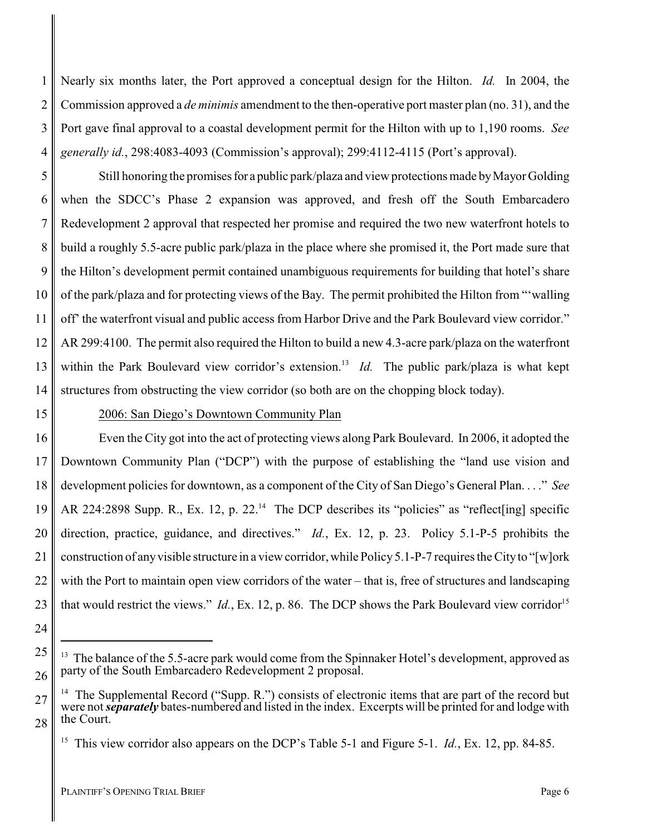1 2 3 4 Nearly six months later, the Port approved a conceptual design for the Hilton. *Id.* In 2004, the Commission approved a *de minimis* amendment to the then-operative port master plan (no. 31), and the Port gave final approval to a coastal development permit for the Hilton with up to 1,190 rooms. *See generally id.*, 298:4083-4093 (Commission's approval); 299:4112-4115 (Port's approval).

5 6 7 8 9 10 11 12 13 14 Still honoring the promises for a public park/plaza and view protections made by Mayor Golding when the SDCC's Phase 2 expansion was approved, and fresh off the South Embarcadero Redevelopment 2 approval that respected her promise and required the two new waterfront hotels to build a roughly 5.5-acre public park/plaza in the place where she promised it, the Port made sure that the Hilton's development permit contained unambiguous requirements for building that hotel's share of the park/plaza and for protecting views of the Bay. The permit prohibited the Hilton from "'walling off' the waterfront visual and public access from Harbor Drive and the Park Boulevard view corridor." AR 299:4100. The permit also required the Hilton to build a new 4.3-acre park/plaza on the waterfront within the Park Boulevard view corridor's extension.<sup>13</sup> *Id*. The public park/plaza is what kept structures from obstructing the view corridor (so both are on the chopping block today).

## 15

24

27

28

### 2006: San Diego's Downtown Community Plan

16 17 18 19 20 21 22 23 Even the City got into the act of protecting views along Park Boulevard. In 2006, it adopted the Downtown Community Plan ("DCP") with the purpose of establishing the "land use vision and development policies for downtown, as a component of the City of San Diego's General Plan. . . ." *See* AR 224:2898 Supp. R., Ex. 12, p. 22.<sup>14</sup> The DCP describes its "policies" as "reflect[ing] specific direction, practice, guidance, and directives." *Id.*, Ex. 12, p. 23. Policy 5.1-P-5 prohibits the construction of anyvisible structure in a view corridor, while Policy 5.1-P-7 requires the Cityto "[w]ork with the Port to maintain open view corridors of the water – that is, free of structures and landscaping that would restrict the views." *Id.*, Ex. 12, p. 86. The DCP shows the Park Boulevard view corridor<sup>15</sup>

<sup>25</sup> 26 <sup>13</sup> The balance of the 5.5-acre park would come from the Spinnaker Hotel's development, approved as party of the South Embarcadero Redevelopment 2 proposal.

<sup>&</sup>lt;sup>14</sup> The Supplemental Record ("Supp. R.") consists of electronic items that are part of the record but were not *separately* bates-numbered and listed in the index. Excerpts will be printed for and lodge with the Court.

<sup>&</sup>lt;sup>15</sup> This view corridor also appears on the DCP's Table 5-1 and Figure 5-1. *Id.*, Ex. 12, pp. 84-85.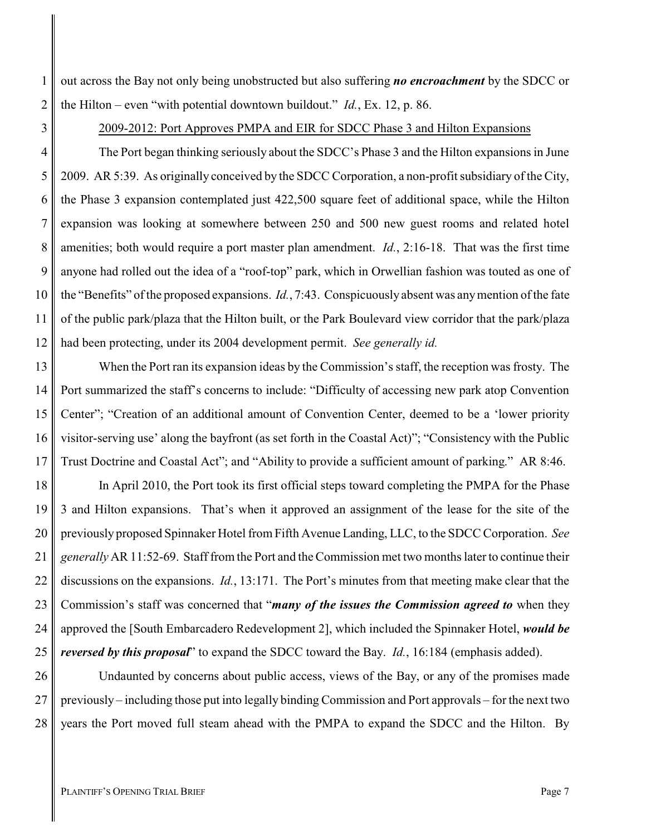2 out across the Bay not only being unobstructed but also suffering *no encroachment* by the SDCC or the Hilton – even "with potential downtown buildout." *Id.*, Ex. 12, p. 86.

2009-2012: Port Approves PMPA and EIR for SDCC Phase 3 and Hilton Expansions

4 5 6 7 8 9 10 11 12 The Port began thinking seriously about the SDCC's Phase 3 and the Hilton expansions in June 2009. AR 5:39. As originally conceived by the SDCC Corporation, a non-profit subsidiary of the City, the Phase 3 expansion contemplated just 422,500 square feet of additional space, while the Hilton expansion was looking at somewhere between 250 and 500 new guest rooms and related hotel amenities; both would require a port master plan amendment. *Id.*, 2:16-18. That was the first time anyone had rolled out the idea of a "roof-top" park, which in Orwellian fashion was touted as one of the "Benefits" of the proposed expansions. *Id.*, 7:43. Conspicuously absent was anymention of the fate of the public park/plaza that the Hilton built, or the Park Boulevard view corridor that the park/plaza had been protecting, under its 2004 development permit. *See generally id.*

13 14 15 16 17 When the Port ran its expansion ideas by the Commission's staff, the reception was frosty. The Port summarized the staff's concerns to include: "Difficulty of accessing new park atop Convention Center"; "Creation of an additional amount of Convention Center, deemed to be a 'lower priority visitor-serving use' along the bayfront (as set forth in the Coastal Act)"; "Consistency with the Public Trust Doctrine and Coastal Act"; and "Ability to provide a sufficient amount of parking." AR 8:46.

18 19 20 21 22 23 24 25 In April 2010, the Port took its first official steps toward completing the PMPA for the Phase 3 and Hilton expansions. That's when it approved an assignment of the lease for the site of the previously proposed Spinnaker Hotel from Fifth Avenue Landing, LLC, to the SDCC Corporation. *See generally* AR 11:52-69. Staff from the Port and the Commission met two months later to continue their discussions on the expansions. *Id.*, 13:171. The Port's minutes from that meeting make clear that the Commission's staff was concerned that "*many of the issues the Commission agreed to* when they approved the [South Embarcadero Redevelopment 2], which included the Spinnaker Hotel, *would be reversed by this proposal*" to expand the SDCC toward the Bay. *Id.*, 16:184 (emphasis added).

26 27 28 Undaunted by concerns about public access, views of the Bay, or any of the promises made previously – including those put into legally binding Commission and Port approvals – for the next two years the Port moved full steam ahead with the PMPA to expand the SDCC and the Hilton. By

1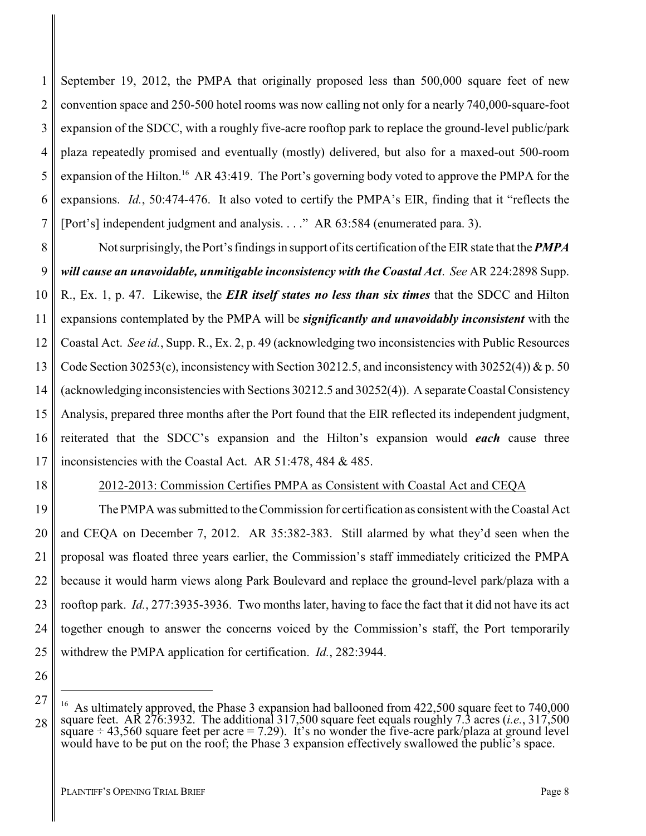1 2 3 4 5 6 7 September 19, 2012, the PMPA that originally proposed less than 500,000 square feet of new convention space and 250-500 hotel rooms was now calling not only for a nearly 740,000-square-foot expansion of the SDCC, with a roughly five-acre rooftop park to replace the ground-level public/park plaza repeatedly promised and eventually (mostly) delivered, but also for a maxed-out 500-room expansion of the Hilton.<sup>16</sup> AR 43:419. The Port's governing body voted to approve the PMPA for the expansions. *Id.*, 50:474-476. It also voted to certify the PMPA's EIR, finding that it "reflects the [Port's] independent judgment and analysis. . . ." AR 63:584 (enumerated para. 3).

8 9 10 11 12 13 14 15 16 17 Not surprisingly, the Port's findings in support of its certification of the EIR state that the *PMPA will cause an unavoidable, unmitigable inconsistency with the Coastal Act*. *See* AR 224:2898 Supp. R., Ex. 1, p. 47. Likewise, the *EIR itself states no less than six times* that the SDCC and Hilton expansions contemplated by the PMPA will be *significantly and unavoidably inconsistent* with the Coastal Act. *See id.*, Supp. R., Ex. 2, p. 49 (acknowledging two inconsistencies with Public Resources Code Section 30253(c), inconsistency with Section 30212.5, and inconsistency with 30252(4)) & p. 50 (acknowledging inconsistencies with Sections 30212.5 and 30252(4)). A separate Coastal Consistency Analysis, prepared three months after the Port found that the EIR reflected its independent judgment, reiterated that the SDCC's expansion and the Hilton's expansion would *each* cause three inconsistencies with the Coastal Act. AR 51:478, 484 & 485.

18

#### 2012-2013: Commission Certifies PMPA as Consistent with Coastal Act and CEQA

19 20 21 22 23 24 25 The PMPA was submitted to the Commission for certification as consistent with the Coastal Act and CEQA on December 7, 2012. AR 35:382-383. Still alarmed by what they'd seen when the proposal was floated three years earlier, the Commission's staff immediately criticized the PMPA because it would harm views along Park Boulevard and replace the ground-level park/plaza with a rooftop park. *Id.*, 277:3935-3936. Two months later, having to face the fact that it did not have its act together enough to answer the concerns voiced by the Commission's staff, the Port temporarily withdrew the PMPA application for certification. *Id.*, 282:3944.

<sup>27</sup> 28 <sup>16</sup> As ultimately approved, the Phase 3 expansion had ballooned from  $422,500$  square feet to  $740,000$ square feet. AR 276:3932. The additional 317,500 square feet equals roughly 7.3 acres (*i.e.*, 317,500 square ÷ 43,560 square feet per acre = 7.29). It's no wonder the five-acre park/plaza at ground level would have to be put on the roof; the Phase 3 expansion effectively swallowed the public's space.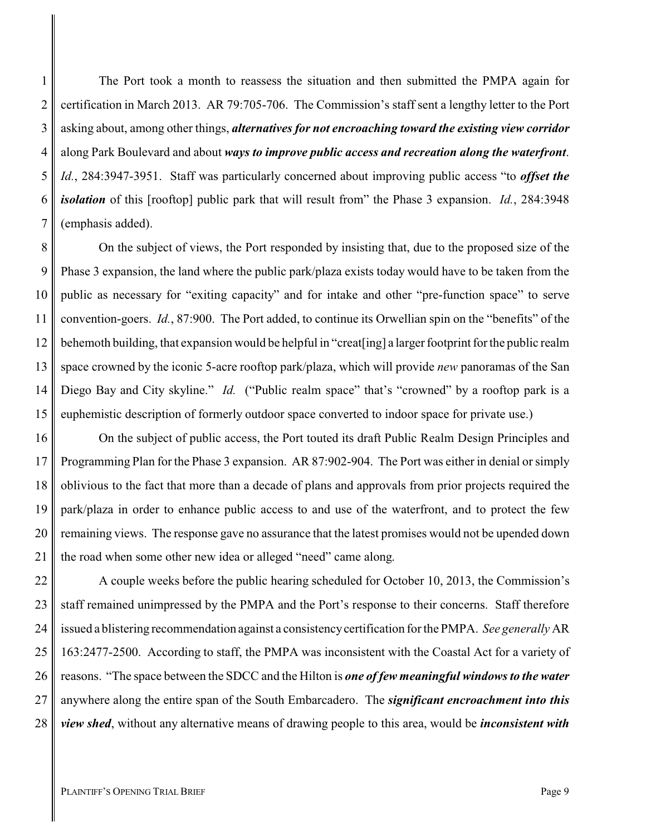1 2 3 4 5 6 7 The Port took a month to reassess the situation and then submitted the PMPA again for certification in March 2013. AR 79:705-706. The Commission's staff sent a lengthy letter to the Port asking about, among other things, *alternatives for not encroaching toward the existing view corridor* along Park Boulevard and about *ways to improve public access and recreation along the waterfront*. *Id.*, 284:3947-3951. Staff was particularly concerned about improving public access "to *offset the isolation* of this [rooftop] public park that will result from" the Phase 3 expansion. *Id.*, 284:3948 (emphasis added).

8 9 10 11 12 13 14 15 On the subject of views, the Port responded by insisting that, due to the proposed size of the Phase 3 expansion, the land where the public park/plaza exists today would have to be taken from the public as necessary for "exiting capacity" and for intake and other "pre-function space" to serve convention-goers. *Id.*, 87:900. The Port added, to continue its Orwellian spin on the "benefits" of the behemoth building, that expansion would be helpful in "creat[ing] a larger footprint for the public realm space crowned by the iconic 5-acre rooftop park/plaza, which will provide *new* panoramas of the San Diego Bay and City skyline." *Id.* ("Public realm space" that's "crowned" by a rooftop park is a euphemistic description of formerly outdoor space converted to indoor space for private use.)

16 17 18 19 20 21 On the subject of public access, the Port touted its draft Public Realm Design Principles and Programming Plan for the Phase 3 expansion. AR 87:902-904. The Port was either in denial or simply oblivious to the fact that more than a decade of plans and approvals from prior projects required the park/plaza in order to enhance public access to and use of the waterfront, and to protect the few remaining views. The response gave no assurance that the latest promises would not be upended down the road when some other new idea or alleged "need" came along.

22 23 24 25 26 27 28 A couple weeks before the public hearing scheduled for October 10, 2013, the Commission's staff remained unimpressed by the PMPA and the Port's response to their concerns. Staff therefore issued a blistering recommendation against a consistencycertification for the PMPA. *See generally* AR 163:2477-2500. According to staff, the PMPA was inconsistent with the Coastal Act for a variety of reasons. "The space between the SDCC and the Hilton is *one of few meaningful windows to the water* anywhere along the entire span of the South Embarcadero. The *significant encroachment into this view shed*, without any alternative means of drawing people to this area, would be *inconsistent with*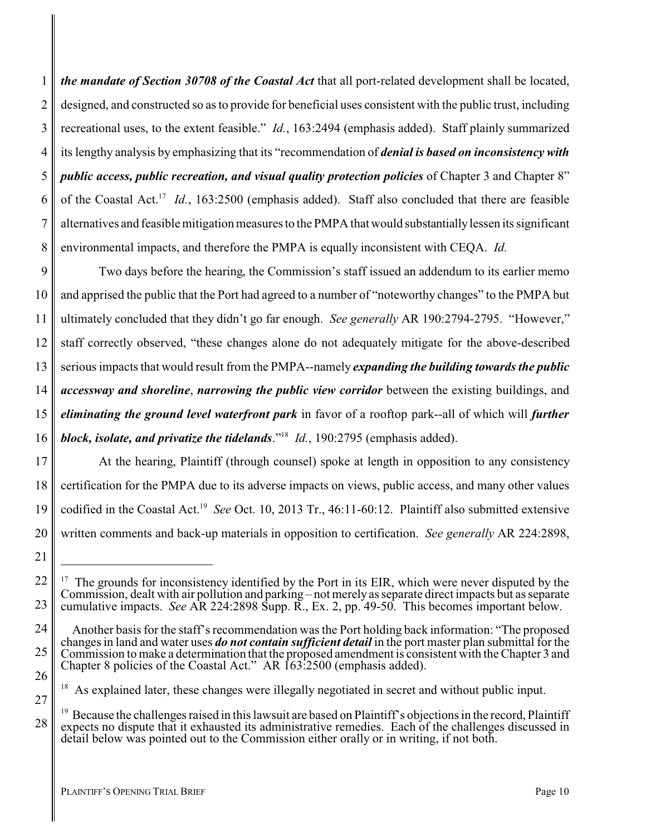1 2 3 4 5 6 7 8 *the mandate of Section 30708 of the Coastal Act* that all port-related development shall be located, designed, and constructed so as to provide for beneficial uses consistent with the public trust, including recreational uses, to the extent feasible." *Id.*, 163:2494 (emphasis added). Staff plainly summarized its lengthy analysis by emphasizing that its "recommendation of *denial is based on inconsistency with public access, public recreation, and visual quality protection policies* of Chapter 3 and Chapter 8" of the Coastal Act.<sup>17</sup> Id., 163:2500 (emphasis added). Staff also concluded that there are feasible alternatives and feasible mitigation measures to the PMPA that would substantiallylessen its significant environmental impacts, and therefore the PMPA is equally inconsistent with CEQA. *Id.*

9 10 11 12 13 14 15 16 Two days before the hearing, the Commission's staff issued an addendum to its earlier memo and apprised the public that the Port had agreed to a number of "noteworthy changes" to the PMPA but ultimately concluded that they didn't go far enough. *See generally* AR 190:2794-2795. "However," staff correctly observed, "these changes alone do not adequately mitigate for the above-described serious impacts that would result from the PMPA--namely *expanding the building towards the public accessway and shoreline*, *narrowing the public view corridor* between the existing buildings, and *eliminating the ground level waterfront park* in favor of a rooftop park--all of which will *further block, isolate, and privatize the tidelands*."<sup>18</sup> *Id.*, 190:2795 (emphasis added).

17 18 19 20 At the hearing, Plaintiff (through counsel) spoke at length in opposition to any consistency certification for the PMPA due to its adverse impacts on views, public access, and many other values codified in the Coastal Act.<sup>19</sup> See Oct. 10, 2013 Tr., 46:11-60:12. Plaintiff also submitted extensive written comments and back-up materials in opposition to certification. *See generally* AR 224:2898,

21

22

23

24

25

26

27

<sup>&</sup>lt;sup>17</sup> The grounds for inconsistency identified by the Port in its EIR, which were never disputed by the Commission, dealt with air pollution and parking – not merelyas separate direct impacts but as separate cumulative impacts. *See* AR 224:2898 Supp. R., Ex. 2, pp. 49-50. This becomes important below.

Another basis for the staff's recommendation was the Port holding back information: "The proposed changes in land and water uses *do not contain sufficient detail* in the port master plan submittal for the Commission to make a determination that the proposed amendment is consistent with the Chapter 3 and Chapter 8 policies of the Coastal Act." AR 163:2500 (emphasis added).

<sup>&</sup>lt;sup>18</sup> As explained later, these changes were illegally negotiated in secret and without public input.

<sup>&</sup>lt;sup>19</sup> Because the challenges raised in this lawsuit are based on Plaintiff's objections in the record, Plaintiff expects no dispute that it exhausted its administrative remedies. Each of the challenges discussed in detail below was pointed out to the Commission either orally or in writing, if not both.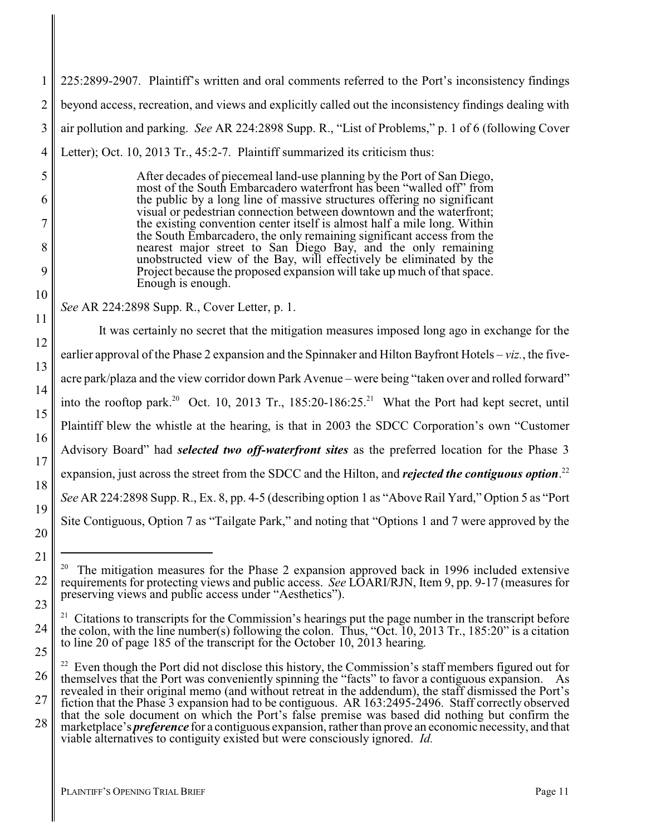1 2 3 4 225:2899-2907. Plaintiff's written and oral comments referred to the Port's inconsistency findings beyond access, recreation, and views and explicitly called out the inconsistency findings dealing with air pollution and parking. *See* AR 224:2898 Supp. R., "List of Problems," p. 1 of 6 (following Cover Letter); Oct. 10, 2013 Tr., 45:2-7. Plaintiff summarized its criticism thus:

> After decades of piecemeal land-use planning by the Port of San Diego, most of the South Embarcadero waterfront has been "walled off" from the public by a long line of massive structures offering no significant visual or pedestrian connection between downtown and the waterfront; the existing convention center itself is almost half a mile long. Within the South Embarcadero, the only remaining significant access from the nearest major street to San Diego Bay, and the only remaining unobstructed view of the Bay, will effectively be eliminated by the Project because the proposed expansion will take up much of that space. Enough is enough.

*See* AR 224:2898 Supp. R., Cover Letter, p. 1.

5

6

7

8

9

10

11

12

13

14

15

16

17

18

19

20

21

22

23

24

25

It was certainly no secret that the mitigation measures imposed long ago in exchange for the earlier approval of the Phase 2 expansion and the Spinnaker and Hilton Bayfront Hotels – *viz.*, the fiveacre park/plaza and the view corridor down Park Avenue – were being "taken over and rolled forward" into the rooftop park.<sup>20</sup> Oct. 10, 2013 Tr., 185:20-186:25.<sup>21</sup> What the Port had kept secret, until Plaintiff blew the whistle at the hearing, is that in 2003 the SDCC Corporation's own "Customer Advisory Board" had *selected two off-waterfront sites* as the preferred location for the Phase 3 expansion, just across the street from the SDCC and the Hilton, and *rejected the contiguous option*. 22 *See* AR 224:2898 Supp. R., Ex. 8, pp. 4-5 (describing option 1 as "Above Rail Yard," Option 5 as "Port Site Contiguous, Option 7 as "Tailgate Park," and noting that "Options 1 and 7 were approved by the

 $20$  The mitigation measures for the Phase 2 expansion approved back in 1996 included extensive requirements for protecting views and public access. *See* LOARI/RJN, Item 9, pp. 9-17 (measures for preserving views and public access under "Aesthetics").

<sup>&</sup>lt;sup>21</sup> Citations to transcripts for the Commission's hearings put the page number in the transcript before the colon, with the line number(s) following the colon. Thus, "Oct. 10, 2013 Tr., 185:20" is a citation to line 20 of page 185 of the transcript for the October 10, 2013 hearing.

<sup>26</sup> 27 28  $22$  Even though the Port did not disclose this history, the Commission's staff members figured out for themselves that the Port was conveniently spinning the "facts" to favor a contiguous expansion. As revealed in their original memo (and without retreat in the addendum), the staff dismissed the Port's fiction that the Phase 3 expansion had to be contiguous. AR 163:2495-2496. Staff correctly observed that the sole document on which the Port's false premise was based did nothing but confirm the marketplace's *preference* for a contiguous expansion, rather than prove an economic necessity, and that viable alternatives to contiguity existed but were consciously ignored. *Id.*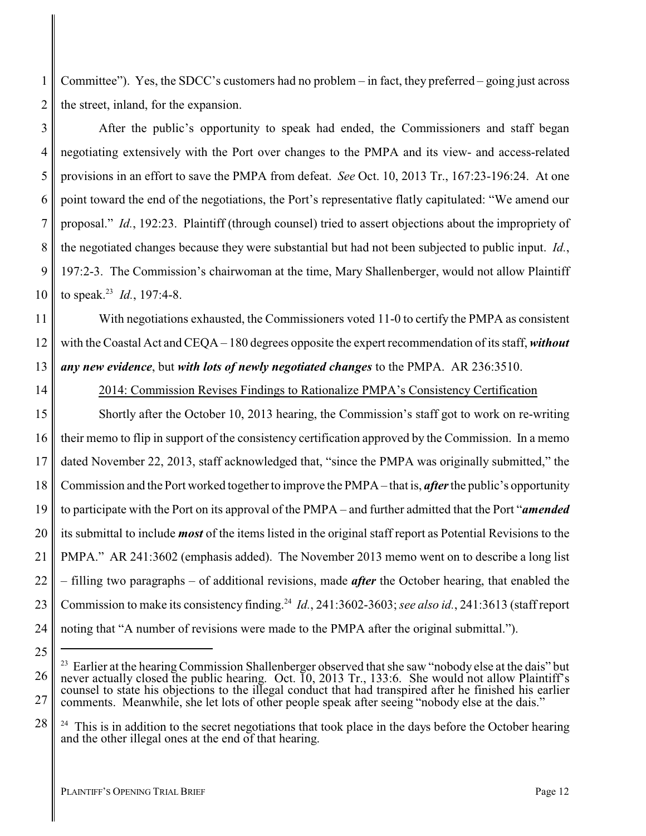1 2 Committee"). Yes, the SDCC's customers had no problem – in fact, they preferred – going just across the street, inland, for the expansion.

3 4 5 6 7 8 9 10 After the public's opportunity to speak had ended, the Commissioners and staff began negotiating extensively with the Port over changes to the PMPA and its view- and access-related provisions in an effort to save the PMPA from defeat. *See* Oct. 10, 2013 Tr., 167:23-196:24. At one point toward the end of the negotiations, the Port's representative flatly capitulated: "We amend our proposal." *Id.*, 192:23. Plaintiff (through counsel) tried to assert objections about the impropriety of the negotiated changes because they were substantial but had not been subjected to public input. *Id.*, 197:2-3. The Commission's chairwoman at the time, Mary Shallenberger, would not allow Plaintiff to speak.<sup>23</sup> *Id.*, 197:4-8.

11 12 13 With negotiations exhausted, the Commissioners voted 11-0 to certify the PMPA as consistent with the Coastal Act and CEQA – 180 degrees opposite the expert recommendation of its staff, *without any new evidence*, but *with lots of newly negotiated changes* to the PMPA. AR 236:3510.

14

2014: Commission Revises Findings to Rationalize PMPA's Consistency Certification

15 16 17 18 19 20 21 22 23 24 Shortly after the October 10, 2013 hearing, the Commission's staff got to work on re-writing their memo to flip in support of the consistency certification approved by the Commission. In a memo dated November 22, 2013, staff acknowledged that, "since the PMPA was originally submitted," the Commission and the Port worked together to improve the PMPA – that is, *after*the public's opportunity to participate with the Port on its approval of the PMPA – and further admitted that the Port "*amended* its submittal to include *most* of the items listed in the original staff report as Potential Revisions to the PMPA." AR 241:3602 (emphasis added). The November 2013 memo went on to describe a long list – filling two paragraphs – of additional revisions, made *after* the October hearing, that enabled the Commission to make its consistency finding.<sup>24</sup> *Id.*, 241:3602-3603; see also id., 241:3613 (staff report noting that "A number of revisions were made to the PMPA after the original submittal.").

<sup>25</sup>

<sup>26</sup> 27 <sup>23</sup> Earlier at the hearing Commission Shallenberger observed that she saw "nobody else at the dais" but never actually closed the public hearing. Oct. 10, 2013 Tr., 133:6. She would not allow Plaintiff's counsel to state his objections to the illegal conduct that had transpired after he finished his earlier comments. Meanwhile, she let lots of other people speak after seeing "nobody else at the dais."

<sup>28</sup> 24 This is in addition to the secret negotiations that took place in the days before the October hearing and the other illegal ones at the end of that hearing.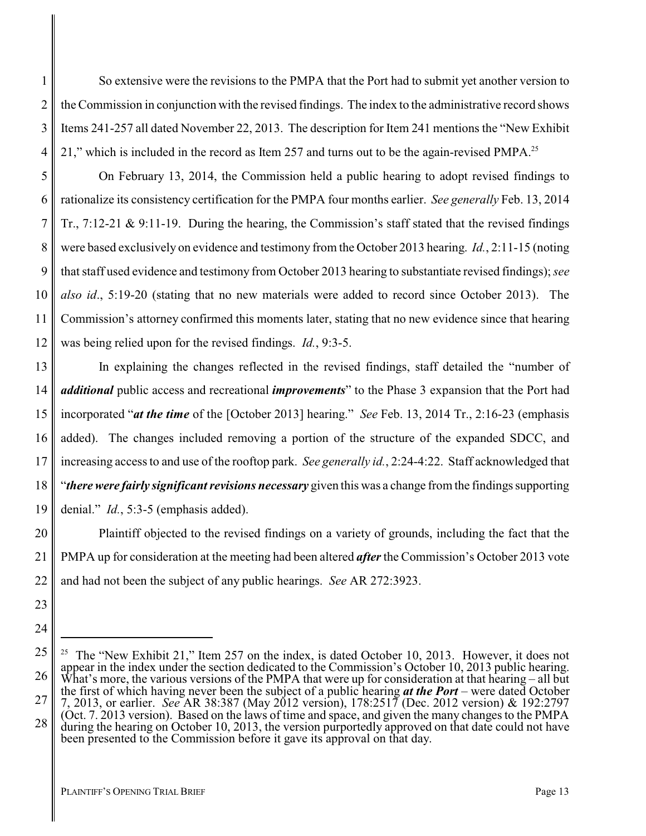So extensive were the revisions to the PMPA that the Port had to submit yet another version to the Commission in conjunction with the revised findings. The index to the administrative record shows Items 241-257 all dated November 22, 2013. The description for Item 241 mentions the "New Exhibit 21," which is included in the record as Item 257 and turns out to be the again-revised PMPA.<sup>25</sup>

5 6 7 8 9 10 11 12 On February 13, 2014, the Commission held a public hearing to adopt revised findings to rationalize its consistency certification for the PMPA four months earlier. *See generally* Feb. 13, 2014 Tr., 7:12-21 & 9:11-19. During the hearing, the Commission's staff stated that the revised findings were based exclusively on evidence and testimony from the October 2013 hearing. *Id.*, 2:11-15 (noting that staff used evidence and testimony from October 2013 hearing to substantiate revised findings); *see also id*., 5:19-20 (stating that no new materials were added to record since October 2013). The Commission's attorney confirmed this moments later, stating that no new evidence since that hearing was being relied upon for the revised findings. *Id.*, 9:3-5.

13 14 15 16 17 18 19 In explaining the changes reflected in the revised findings, staff detailed the "number of *additional* public access and recreational *improvements*" to the Phase 3 expansion that the Port had incorporated "*at the time* of the [October 2013] hearing." *See* Feb. 13, 2014 Tr., 2:16-23 (emphasis added). The changes included removing a portion of the structure of the expanded SDCC, and increasing access to and use of the rooftop park. *See generally id.*, 2:24-4:22. Staff acknowledged that "*there were fairly significant revisions necessary* given this was a change from the findings supporting denial." *Id.*, 5:3-5 (emphasis added).

20 21 22 Plaintiff objected to the revised findings on a variety of grounds, including the fact that the PMPA up for consideration at the meeting had been altered *after*the Commission's October 2013 vote and had not been the subject of any public hearings. *See* AR 272:3923.

1

2

3

4

23

<sup>25</sup> 26 27 28 <sup>25</sup> The "New Exhibit 21," Item 257 on the index, is dated October 10, 2013. However, it does not appear in the index under the section dedicated to the Commission's October 10, 2013 public hearing. What's more, the various versions of the PMPA that were up for consideration at that hearing – all but the first of which having never been the subject of a public hearing *at the Port* – were dated October 7, 2013, or earlier. *See* AR 38:387 (May 2012 version), 178:2517 (Dec. 2012 version) & 192:2797 (Oct. 7. 2013 version). Based on the laws of time and space, and given the many changes to the PMPA during the hearing on October 10, 2013, the version purportedly approved on that date could not have been presented to the Commission before it gave its approval on that day.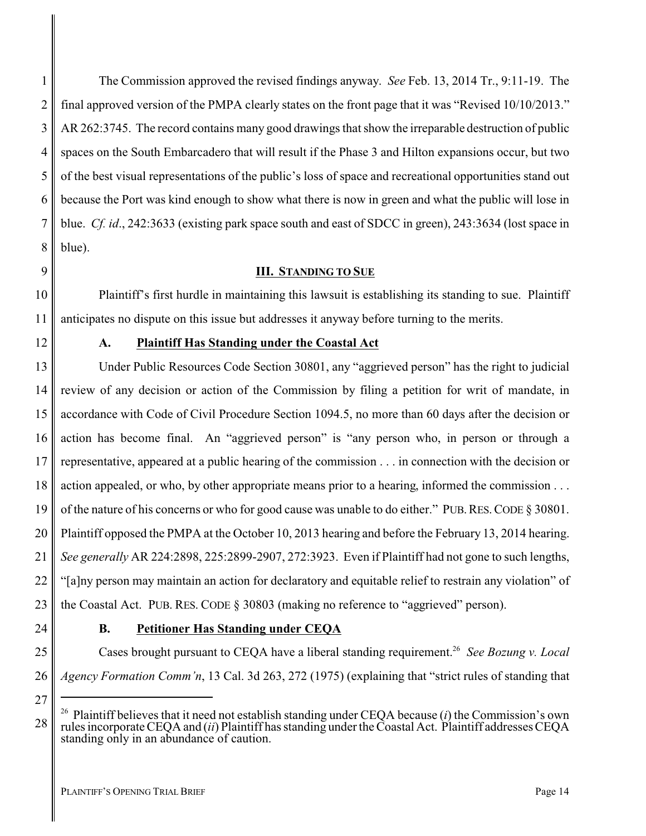The Commission approved the revised findings anyway. *See* Feb. 13, 2014 Tr., 9:11-19. The final approved version of the PMPA clearly states on the front page that it was "Revised 10/10/2013." AR 262:3745. The record contains many good drawings that show the irreparable destruction of public spaces on the South Embarcadero that will result if the Phase 3 and Hilton expansions occur, but two of the best visual representations of the public's loss of space and recreational opportunities stand out because the Port was kind enough to show what there is now in green and what the public will lose in blue. *Cf. id*., 242:3633 (existing park space south and east of SDCC in green), 243:3634 (lost space in blue).

#### <span id="page-17-0"></span>**III. STANDING TO SUE**

Plaintiff's first hurdle in maintaining this lawsuit is establishing its standing to sue. Plaintiff anticipates no dispute on this issue but addresses it anyway before turning to the merits.

#### <span id="page-17-1"></span>**A. Plaintiff Has Standing under the Coastal Act**

13 14 15 16 17 18 19 20 21 22 23 Under Public Resources Code Section 30801, any "aggrieved person" has the right to judicial review of any decision or action of the Commission by filing a petition for writ of mandate, in accordance with Code of Civil Procedure Section 1094.5, no more than 60 days after the decision or action has become final. An "aggrieved person" is "any person who, in person or through a representative, appeared at a public hearing of the commission . . . in connection with the decision or action appealed, or who, by other appropriate means prior to a hearing, informed the commission . . . of the nature of his concerns or who for good cause was unable to do either." PUB.RES.CODE § 30801. Plaintiff opposed the PMPA at the October 10, 2013 hearing and before the February 13, 2014 hearing. *See generally* AR 224:2898, 225:2899-2907, 272:3923. Even if Plaintiff had not gone to such lengths, "[a]ny person may maintain an action for declaratory and equitable relief to restrain any violation" of the Coastal Act. PUB. RES. CODE § 30803 (making no reference to "aggrieved" person).

24

27

28

1

2

3

4

5

6

7

8

9

10

11

12

### <span id="page-17-2"></span>**B. Petitioner Has Standing under CEQA**

25 26 Cases brought pursuant to CEQA have a liberal standing requirement.<sup>26</sup> See Bozung v. Local *Agency Formation Comm'n*, 13 Cal. 3d 263, 272 (1975) (explaining that "strict rules of standing that

<sup>26</sup> Plaintiff believes that it need not establish standing under CEQA because (*i*) the Commission's own rules incorporate CEQA and (*ii*) Plaintiff has standing under the Coastal Act. Plaintiff addresses CEQA standing only in an abundance of caution.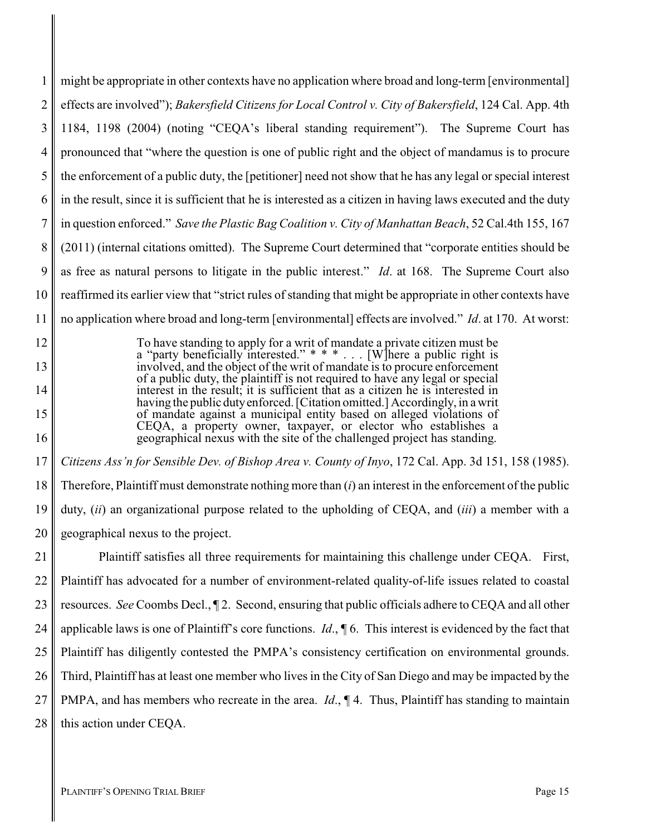1 2 3 4 5 6 7 8 9 10 11 might be appropriate in other contexts have no application where broad and long-term [environmental] effects are involved"); *Bakersfield Citizens for Local Control v. City of Bakersfield*, 124 Cal. App. 4th 1184, 1198 (2004) (noting "CEQA's liberal standing requirement"). The Supreme Court has pronounced that "where the question is one of public right and the object of mandamus is to procure the enforcement of a public duty, the [petitioner] need not show that he has any legal or special interest in the result, since it is sufficient that he is interested as a citizen in having laws executed and the duty in question enforced." *Save the Plastic Bag Coalition v. City of Manhattan Beach*, 52 Cal.4th 155, 167 (2011) (internal citations omitted). The Supreme Court determined that "corporate entities should be as free as natural persons to litigate in the public interest." *Id*. at 168. The Supreme Court also reaffirmed its earlier view that "strict rules of standing that might be appropriate in other contexts have no application where broad and long-term [environmental] effects are involved." *Id*. at 170. At worst:

> To have standing to apply for a writ of mandate a private citizen must be a "party beneficially interested."  $* * *$ ... [W] here a public right is involved, and the object of the writ of mandate is to procure enforcement of a public duty, the plaintiff is not required to have any legal or special interest in the result; it is sufficient that as a citizen he is interested in having the public dutyenforced. [Citation omitted.] Accordingly, in a writ of mandate against a municipal entity based on alleged violations of CEQA, a property owner, taxpayer, or elector who establishes a geographical nexus with the site of the challenged project has standing.

17 18 19 20 *Citizens Ass'n for Sensible Dev. of Bishop Area v. County of Inyo*, 172 Cal. App. 3d 151, 158 (1985). Therefore, Plaintiff must demonstrate nothing more than (*i*) an interest in the enforcement of the public duty, (*ii*) an organizational purpose related to the upholding of CEQA, and (*iii*) a member with a geographical nexus to the project.

21 22 23 24 25 26 27 28 Plaintiff satisfies all three requirements for maintaining this challenge under CEQA. First, Plaintiff has advocated for a number of environment-related quality-of-life issues related to coastal resources. *See* Coombs Decl., ¶ 2. Second, ensuring that public officials adhere to CEQA and all other applicable laws is one of Plaintiff's core functions. *Id*., ¶ 6. This interest is evidenced by the fact that Plaintiff has diligently contested the PMPA's consistency certification on environmental grounds. Third, Plaintiff has at least one member who lives in the City of San Diego and may be impacted by the PMPA, and has members who recreate in the area. *Id*., ¶ 4. Thus, Plaintiff has standing to maintain this action under CEQA.

12

13

14

15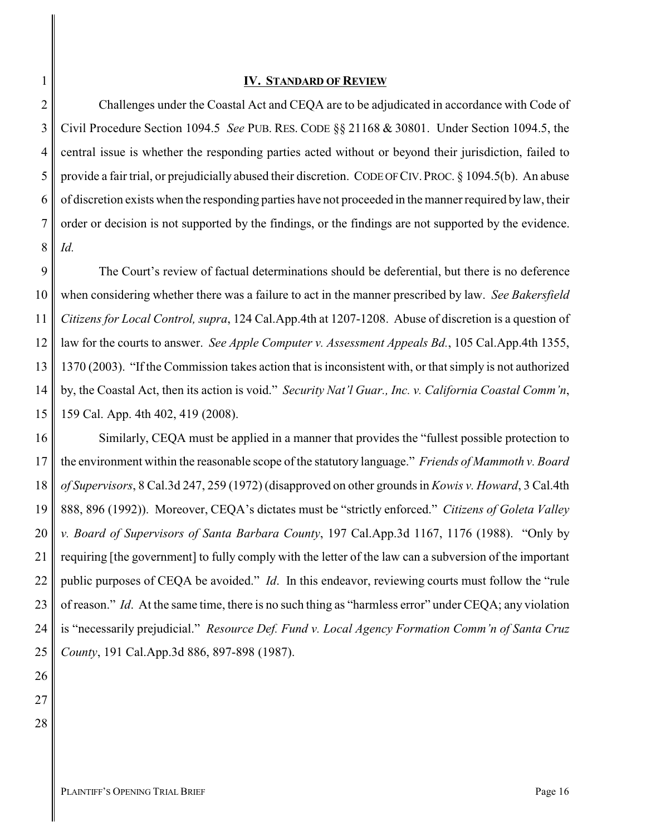#### <span id="page-19-0"></span>**IV. STANDARD OF REVIEW**

2 3 4 5 6 7 8 Challenges under the Coastal Act and CEQA are to be adjudicated in accordance with Code of Civil Procedure Section 1094.5 *See* PUB. RES. CODE §§ 21168 & 30801. Under Section 1094.5, the central issue is whether the responding parties acted without or beyond their jurisdiction, failed to provide a fair trial, or prejudicially abused their discretion. CODE OFCIV.PROC. § 1094.5(b). An abuse of discretion exists when the responding parties have not proceeded in the manner required by law, their order or decision is not supported by the findings, or the findings are not supported by the evidence. *Id.*

9 10 11 12 13 14 15 The Court's review of factual determinations should be deferential, but there is no deference when considering whether there was a failure to act in the manner prescribed by law. *See Bakersfield Citizens for Local Control, supra*, 124 Cal.App.4th at 1207-1208. Abuse of discretion is a question of law for the courts to answer. *See Apple Computer v. Assessment Appeals Bd.*, 105 Cal.App.4th 1355, 1370 (2003). "If the Commission takes action that is inconsistent with, or that simply is not authorized by, the Coastal Act, then its action is void." *Security Nat'l Guar., Inc. v. California Coastal Comm'n*, 159 Cal. App. 4th 402, 419 (2008).

16 17 18 19 20 21 22 23 24 25 Similarly, CEQA must be applied in a manner that provides the "fullest possible protection to the environment within the reasonable scope of the statutory language." *Friends of Mammoth v. Board of Supervisors*, 8 Cal.3d 247, 259 (1972) (disapproved on other grounds in *Kowis v. Howard*, 3 Cal.4th 888, 896 (1992)). Moreover, CEQA's dictates must be "strictly enforced." *Citizens of Goleta Valley v. Board of Supervisors of Santa Barbara County*, 197 Cal.App.3d 1167, 1176 (1988). "Only by requiring [the government] to fully comply with the letter of the law can a subversion of the important public purposes of CEQA be avoided." *Id*. In this endeavor, reviewing courts must follow the "rule of reason." *Id*. At the same time, there is no such thing as "harmless error" under CEQA; any violation is "necessarily prejudicial." *Resource Def. Fund v. Local Agency Formation Comm'n of Santa Cruz County*, 191 Cal.App.3d 886, 897-898 (1987).

26

27

28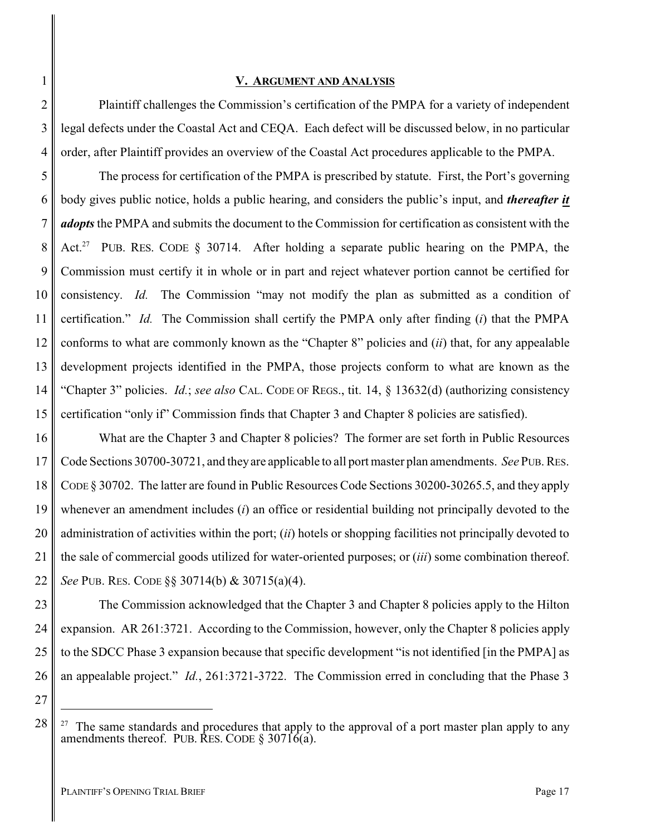#### <span id="page-20-0"></span>**V. ARGUMENT AND ANALYSIS**

Plaintiff challenges the Commission's certification of the PMPA for a variety of independent legal defects under the Coastal Act and CEQA. Each defect will be discussed below, in no particular order, after Plaintiff provides an overview of the Coastal Act procedures applicable to the PMPA.

5 6 7 8 9 10 11 12 13 14 15 The process for certification of the PMPA is prescribed by statute. First, the Port's governing body gives public notice, holds a public hearing, and considers the public's input, and *thereafter it adopts* the PMPA and submits the document to the Commission for certification as consistent with the Act.<sup>27</sup> PUB. RES. CODE § 30714. After holding a separate public hearing on the PMPA, the Commission must certify it in whole or in part and reject whatever portion cannot be certified for consistency. *Id.* The Commission "may not modify the plan as submitted as a condition of certification." *Id.* The Commission shall certify the PMPA only after finding (*i*) that the PMPA conforms to what are commonly known as the "Chapter 8" policies and (*ii*) that, for any appealable development projects identified in the PMPA, those projects conform to what are known as the "Chapter 3" policies. *Id.*; *see also* CAL. CODE OF REGS., tit. 14, § 13632(d) (authorizing consistency certification "only if" Commission finds that Chapter 3 and Chapter 8 policies are satisfied).

16 17 18 19 20 21 22 What are the Chapter 3 and Chapter 8 policies? The former are set forth in Public Resources Code Sections 30700-30721, and theyare applicable to all port master plan amendments. *See* PUB. RES. CODE § 30702. The latter are found in Public Resources Code Sections 30200-30265.5, and they apply whenever an amendment includes (*i*) an office or residential building not principally devoted to the administration of activities within the port; (*ii*) hotels or shopping facilities not principally devoted to the sale of commercial goods utilized for water-oriented purposes; or (*iii*) some combination thereof. *See* PUB. RES. CODE §§ 30714(b) & 30715(a)(4).

23 24 25 26 The Commission acknowledged that the Chapter 3 and Chapter 8 policies apply to the Hilton expansion. AR 261:3721. According to the Commission, however, only the Chapter 8 policies apply to the SDCC Phase 3 expansion because that specific development "is not identified [in the PMPA] as an appealable project." *Id.*, 261:3721-3722. The Commission erred in concluding that the Phase 3

27

28

1

2

3

<sup>&</sup>lt;sup>27</sup> The same standards and procedures that apply to the approval of a port master plan apply to any amendments thereof. PUB. RES. CODE  $\S 30716(a)$ .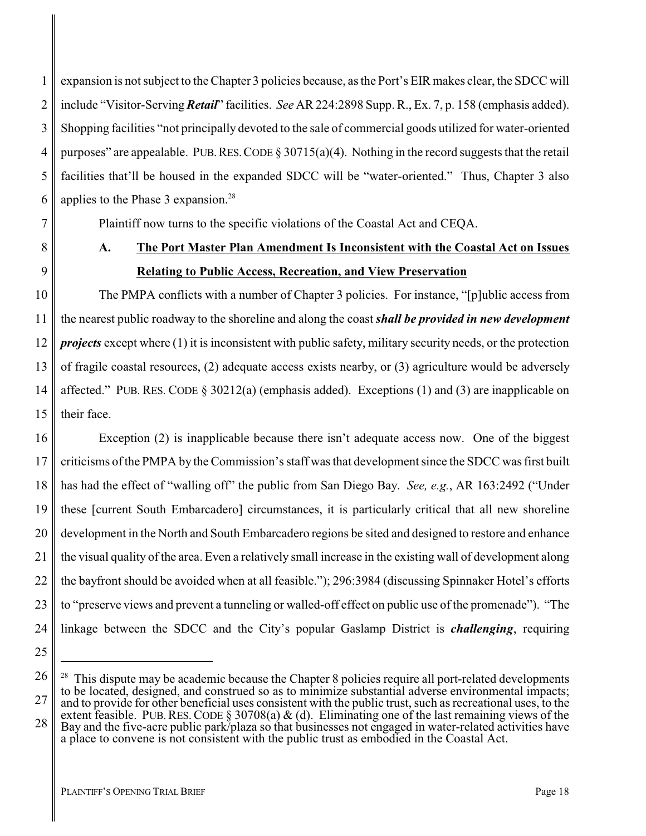1 2 3 4 5 6 expansion is not subject to the Chapter 3 policies because, as the Port's EIR makes clear, the SDCC will include "Visitor-Serving*Retail*" facilities. *See* AR 224:2898 Supp. R., Ex. 7, p. 158 (emphasis added). Shopping facilities "not principally devoted to the sale of commercial goods utilized for water-oriented purposes" are appealable. PUB. RES. CODE  $\S 30715(a)(4)$ . Nothing in the record suggests that the retail facilities that'll be housed in the expanded SDCC will be "water-oriented." Thus, Chapter 3 also applies to the Phase 3 expansion.<sup>28</sup>

Plaintiff now turns to the specific violations of the Coastal Act and CEQA.

## <span id="page-21-0"></span>**A. The Port Master Plan Amendment Is Inconsistent with the Coastal Act on Issues Relating to Public Access, Recreation, and View Preservation**

The PMPA conflicts with a number of Chapter 3 policies. For instance, "[p]ublic access from the nearest public roadway to the shoreline and along the coast *shall be provided in new development projects* except where (1) it is inconsistent with public safety, military security needs, or the protection of fragile coastal resources, (2) adequate access exists nearby, or (3) agriculture would be adversely affected." PUB. RES. CODE  $\S 30212(a)$  (emphasis added). Exceptions (1) and (3) are inapplicable on their face.

16 17 18 19 20 21 22 23 24 Exception (2) is inapplicable because there isn't adequate access now. One of the biggest criticisms of the PMPA by the Commission's staff was that development since the SDCC was first built has had the effect of "walling off" the public from San Diego Bay. *See, e.g.*, AR 163:2492 ("Under these [current South Embarcadero] circumstances, it is particularly critical that all new shoreline development in the North and South Embarcadero regions be sited and designed to restore and enhance the visual quality of the area. Even a relatively small increase in the existing wall of development along the bayfront should be avoided when at all feasible."); 296:3984 (discussing Spinnaker Hotel's efforts to "preserve views and prevent a tunneling or walled-off effect on public use of the promenade"). "The linkage between the SDCC and the City's popular Gaslamp District is *challenging*, requiring

25

7

8

9

10

11

12

13

14

15

27

<sup>26</sup>

This dispute may be academic because the Chapter 8 policies require all port-related developments to be located, designed, and construed so as to minimize substantial adverse environmental impacts; and to provide for other beneficial uses consistent with the public trust, such as recreational uses, to the extent feasible. PUB. RES. CODE § 30708(a)  $\&$  (d). Eliminating one of the last remaining views of the Bay and the five-acre public park/plaza so that businesses not engaged in water-related activities have a place to convene is not consistent with the public trust as embodied in the Coastal Act.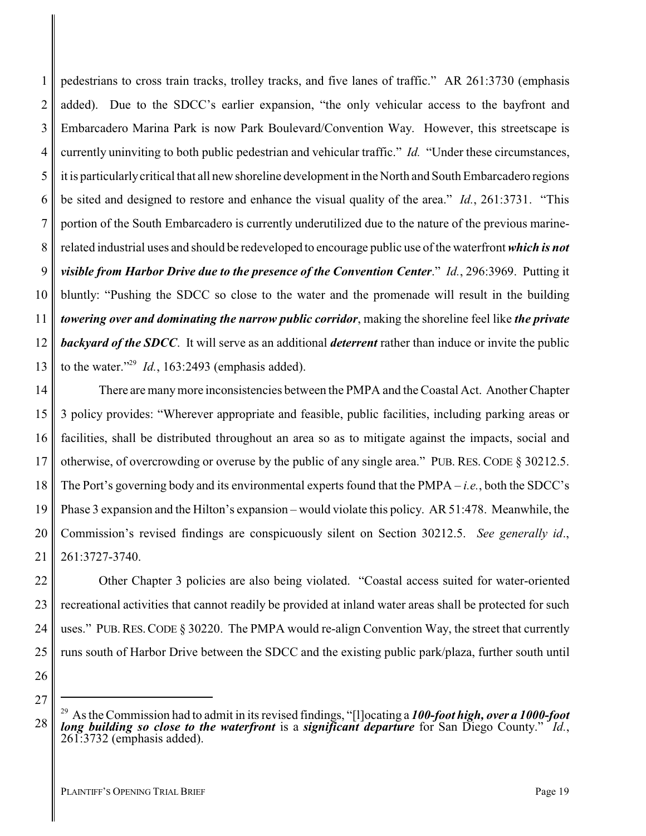1 2 3 4 5 6 7 8 9 10 11 12 13 pedestrians to cross train tracks, trolley tracks, and five lanes of traffic." AR 261:3730 (emphasis added). Due to the SDCC's earlier expansion, "the only vehicular access to the bayfront and Embarcadero Marina Park is now Park Boulevard/Convention Way. However, this streetscape is currently uninviting to both public pedestrian and vehicular traffic." *Id.* "Under these circumstances, it is particularlycritical that all new shoreline development in the North and South Embarcadero regions be sited and designed to restore and enhance the visual quality of the area." *Id.*, 261:3731. "This portion of the South Embarcadero is currently underutilized due to the nature of the previous marinerelated industrial uses and should be redeveloped to encourage public use of the waterfront *which is not visible from Harbor Drive due to the presence of the Convention Center*." *Id.*, 296:3969. Putting it bluntly: "Pushing the SDCC so close to the water and the promenade will result in the building *towering over and dominating the narrow public corridor*, making the shoreline feel like *the private backyard of the SDCC*. It will serve as an additional *deterrent* rather than induce or invite the public to the water."<sup>29</sup> *Id.*, 163:2493 (emphasis added).

14 15 16 17 18 19 20 21 There are manymore inconsistencies between the PMPA and the Coastal Act. Another Chapter 3 policy provides: "Wherever appropriate and feasible, public facilities, including parking areas or facilities, shall be distributed throughout an area so as to mitigate against the impacts, social and otherwise, of overcrowding or overuse by the public of any single area." PUB. RES. CODE § 30212.5. The Port's governing body and its environmental experts found that the PMPA – *i.e.*, both the SDCC's Phase 3 expansion and the Hilton's expansion – would violate this policy. AR 51:478. Meanwhile, the Commission's revised findings are conspicuously silent on Section 30212.5. *See generally id*., 261:3727-3740.

22 23 24 25 Other Chapter 3 policies are also being violated. "Coastal access suited for water-oriented recreational activities that cannot readily be provided at inland water areas shall be protected for such uses." PUB. RES. CODE  $\S 30220$ . The PMPA would re-align Convention Way, the street that currently runs south of Harbor Drive between the SDCC and the existing public park/plaza, further south until

26

27

<sup>29</sup> As the Commission had to admit in its revised findings, "[l]ocating a *100-foot high, over a 1000-foot long building so close to the waterfront* is a *significant departure* for San Diego County." *Id.*, 261:3732 (emphasis added).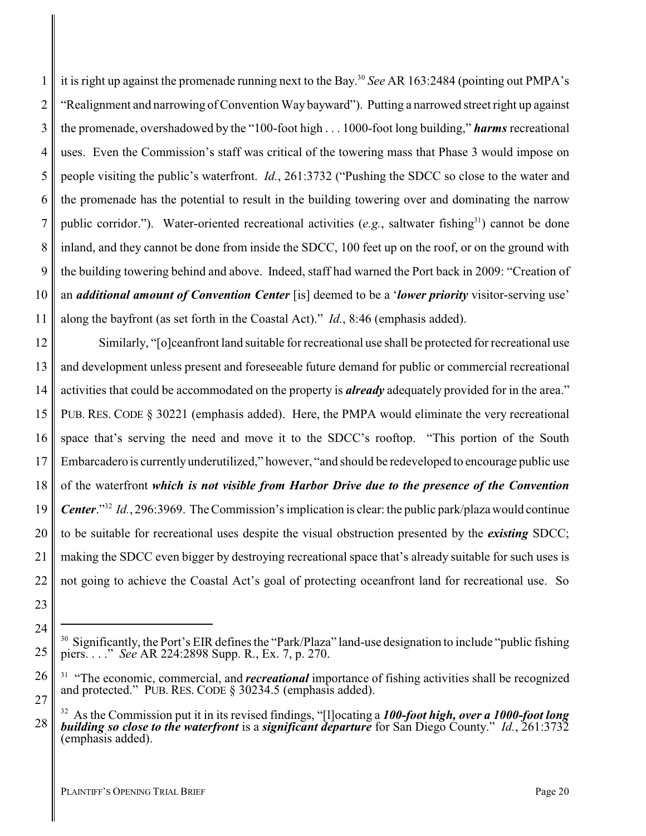1 2 3 4 5 6 7 8 9 10 11 it is right up against the promenade running next to the Bay. 30 *See* AR 163:2484 (pointing out PMPA's "Realignment and narrowing of Convention Way bayward"). Putting a narrowed street right up against the promenade, overshadowed by the "100-foot high . . . 1000-foot long building," *harms* recreational uses. Even the Commission's staff was critical of the towering mass that Phase 3 would impose on people visiting the public's waterfront. *Id.*, 261:3732 ("Pushing the SDCC so close to the water and the promenade has the potential to result in the building towering over and dominating the narrow public corridor."). Water-oriented recreational activities (e.g., saltwater fishing<sup>31</sup>) cannot be done inland, and they cannot be done from inside the SDCC, 100 feet up on the roof, or on the ground with the building towering behind and above. Indeed, staff had warned the Port back in 2009: "Creation of an *additional amount of Convention Center* [is] deemed to be a '*lower priority* visitor-serving use' along the bayfront (as set forth in the Coastal Act)." *Id.*, 8:46 (emphasis added).

12 13 14 15 16 17 18 19 20 21 22 Similarly, "[o]ceanfront land suitable for recreational use shall be protected for recreational use and development unless present and foreseeable future demand for public or commercial recreational activities that could be accommodated on the property is *already* adequately provided for in the area." PUB. RES. CODE § 30221 (emphasis added). Here, the PMPA would eliminate the very recreational space that's serving the need and move it to the SDCC's rooftop. "This portion of the South Embarcadero is currentlyunderutilized," however, "and should be redeveloped to encourage public use of the waterfront *which is not visible from Harbor Drive due to the presence of the Convention Center*."<sup>32</sup> *Id.*, 296:3969. The Commission's implication is clear: the public park/plaza would continue to be suitable for recreational uses despite the visual obstruction presented by the *existing* SDCC; making the SDCC even bigger by destroying recreational space that's already suitable for such uses is not going to achieve the Coastal Act's goal of protecting oceanfront land for recreational use. So

25

26

27

<sup>23</sup> 24

 $30$  Significantly, the Port's EIR defines the "Park/Plaza" land-use designation to include "public fishing piers. . . ." *See* AR 224:2898 Supp. R., Ex. 7, p. 270.

<sup>&</sup>lt;sup>31</sup> "The economic, commercial, and *recreational* importance of fishing activities shall be recognized and protected." PUB. RES. CODE § 30234.5 (emphasis added).

<sup>32</sup> As the Commission put it in its revised findings, "[l]ocating a *100-foot high, over a 1000-foot long building so close to the waterfront* is a *significant departure* for San Diego County." *Id.*, 261:3732 (emphasis added).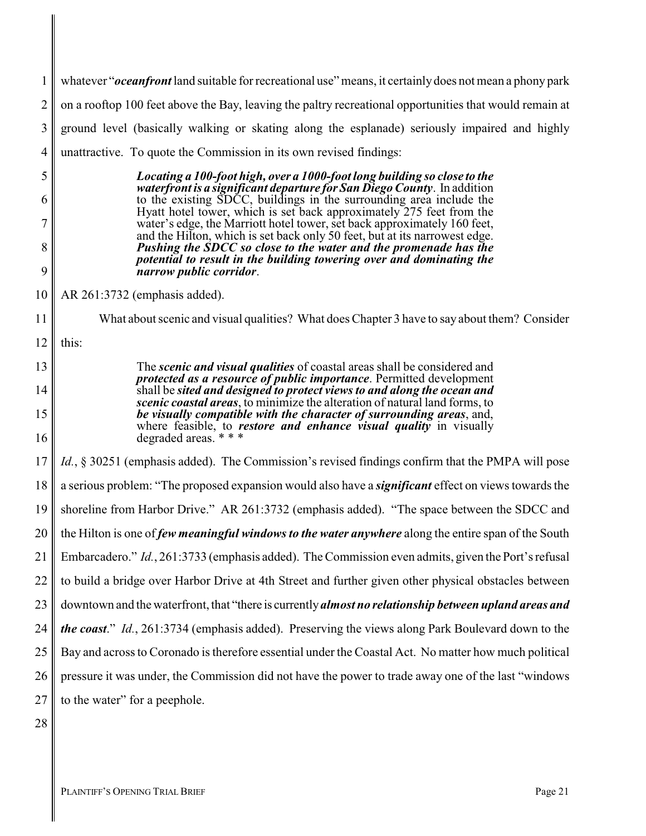1 2 3 4 whatever "*oceanfront* land suitable for recreational use" means, it certainlydoes not mean a phony park on a rooftop 100 feet above the Bay, leaving the paltry recreational opportunities that would remain at ground level (basically walking or skating along the esplanade) seriously impaired and highly unattractive. To quote the Commission in its own revised findings:

> *Locating a 100-foot high, over a 1000-foot long building so close to the waterfront is a significant departure for San Diego County*. In addition to the existing SDCC, buildings in the surrounding area include the Hyatt hotel tower, which is set back approximately 275 feet from the water's edge, the Marriott hotel tower, set back approximately 160 feet, and the Hilton, which is set back only 50 feet, but at its narrowest edge. *Pushing the SDCC so close to the water and the promenade has the potential to result in the building towering over and dominating the narrow public corridor*.

10 AR 261:3732 (emphasis added).

What about scenic and visual qualities? What does Chapter 3 have to say about them? Consider

12 this:

5

6

7

8

9

11

13

14

15

16

The *scenic and visual qualities* of coastal areas shall be considered and *protected as a resource of public importance*. Permitted development shall be *sited and designed to protect views to and along the ocean and scenic coastal areas*, to minimize the alteration of natural land forms, to *be visually compatible with the character of surrounding areas*, and, where feasible, to *restore and enhance visual quality* in visually degraded areas. \* \* \*

17 18 19 20 21 22 23 24 25 26 27 *Id.*, § 30251 (emphasis added). The Commission's revised findings confirm that the PMPA will pose a serious problem: "The proposed expansion would also have a *significant* effect on views towards the shoreline from Harbor Drive." AR 261:3732 (emphasis added). "The space between the SDCC and the Hilton is one of *few meaningful windows to the water anywhere* along the entire span of the South Embarcadero." *Id.*, 261:3733 (emphasis added). The Commission even admits, given the Port's refusal to build a bridge over Harbor Drive at 4th Street and further given other physical obstacles between downtown and the waterfront, that "there is currently*almost no relationship between upland areas and the coast*." *Id.*, 261:3734 (emphasis added). Preserving the views along Park Boulevard down to the Bay and across to Coronado is therefore essential under the Coastal Act. No matter how much political pressure it was under, the Commission did not have the power to trade away one of the last "windows to the water" for a peephole.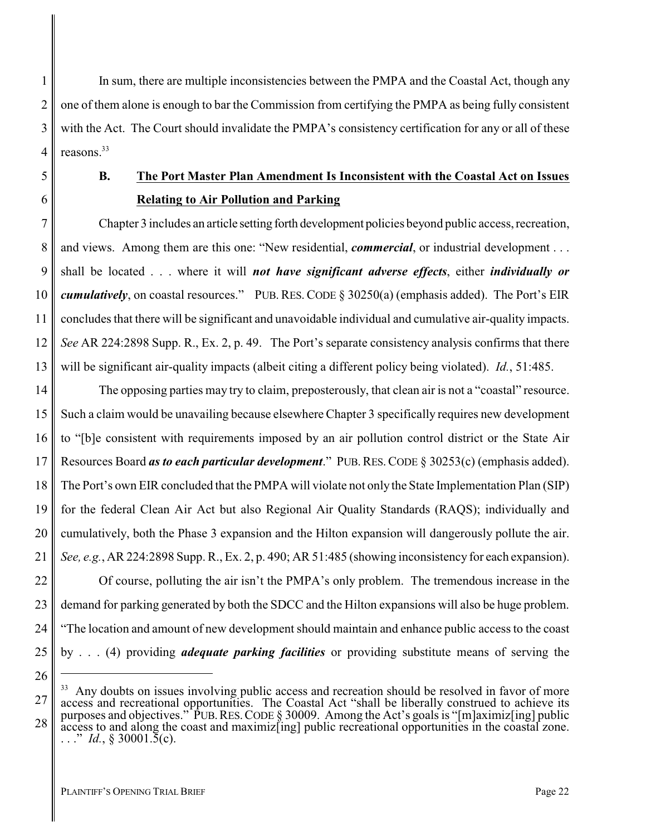2 3 4 In sum, there are multiple inconsistencies between the PMPA and the Coastal Act, though any one of them alone is enough to bar the Commission from certifying the PMPA as being fully consistent with the Act. The Court should invalidate the PMPA's consistency certification for any or all of these reasons<sup>33</sup>

9

10

11

12

13

26

1

## <span id="page-25-0"></span>**B. The Port Master Plan Amendment Is Inconsistent with the Coastal Act on Issues Relating to Air Pollution and Parking**

Chapter 3 includes an article setting forth development policies beyond public access, recreation, and views. Among them are this one: "New residential, *commercial*, or industrial development . . . shall be located . . . where it will *not have significant adverse effects*, either *individually or cumulatively*, on coastal resources." PUB.RES. CODE § 30250(a) (emphasis added). The Port's EIR concludes that there will be significant and unavoidable individual and cumulative air-quality impacts. *See* AR 224:2898 Supp. R., Ex. 2, p. 49. The Port's separate consistency analysis confirms that there will be significant air-quality impacts (albeit citing a different policy being violated). *Id.*, 51:485.

14 15 16 17 18 19 20 21 The opposing parties may try to claim, preposterously, that clean air is not a "coastal" resource. Such a claim would be unavailing because elsewhere Chapter 3 specifically requires new development to "[b]e consistent with requirements imposed by an air pollution control district or the State Air Resources Board *as to each particular development*." PUB.RES.CODE § 30253(c) (emphasis added). The Port's own EIR concluded that the PMPA will violate not only the State Implementation Plan (SIP) for the federal Clean Air Act but also Regional Air Quality Standards (RAQS); individually and cumulatively, both the Phase 3 expansion and the Hilton expansion will dangerously pollute the air. *See, e.g.*, AR 224:2898 Supp. R., Ex. 2, p. 490; AR 51:485 (showing inconsistency for each expansion).

22 23 24 25 Of course, polluting the air isn't the PMPA's only problem. The tremendous increase in the demand for parking generated by both the SDCC and the Hilton expansions will also be huge problem. "The location and amount of new development should maintain and enhance public access to the coast by . . . (4) providing *adequate parking facilities* or providing substitute means of serving the

<sup>27</sup> 28 <sup>33</sup> Any doubts on issues involving public access and recreation should be resolved in favor of more access and recreational opportunities. The Coastal Act "shall be liberally construed to achieve its purposes and objectives." PUB.RES.CODE § 30009. Among the Act's goals is "[m]aximiz[ing] public access to and along the coast and maximiz[ing] public recreational opportunities in the coastal zone.  $\ldots$ ." *Id.*, § 30001.5(c).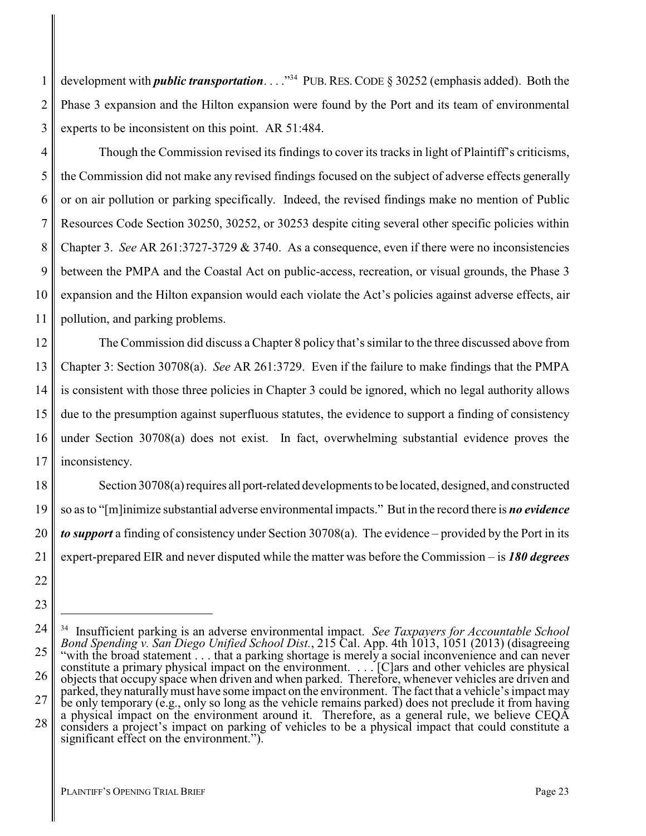development with *public transportation*. . . .<sup>"34</sup> PUB. RES. CODE § 30252 (emphasis added). Both the Phase 3 expansion and the Hilton expansion were found by the Port and its team of environmental experts to be inconsistent on this point. AR 51:484.

4 5 6 7 8 9 10 Though the Commission revised its findings to cover its tracks in light of Plaintiff's criticisms, the Commission did not make any revised findings focused on the subject of adverse effects generally or on air pollution or parking specifically. Indeed, the revised findings make no mention of Public Resources Code Section 30250, 30252, or 30253 despite citing several other specific policies within Chapter 3. *See* AR 261:3727-3729 & 3740. As a consequence, even if there were no inconsistencies between the PMPA and the Coastal Act on public-access, recreation, or visual grounds, the Phase 3 expansion and the Hilton expansion would each violate the Act's policies against adverse effects, air pollution, and parking problems.

12 13 14 15 16 17 The Commission did discuss a Chapter 8 policy that's similar to the three discussed above from Chapter 3: Section 30708(a). *See* AR 261:3729. Even if the failure to make findings that the PMPA is consistent with those three policies in Chapter 3 could be ignored, which no legal authority allows due to the presumption against superfluous statutes, the evidence to support a finding of consistency under Section 30708(a) does not exist. In fact, overwhelming substantial evidence proves the inconsistency.

Section 30708(a) requires all port-related developments to be located, designed, and constructed so as to "[m]inimize substantial adverse environmental impacts." But in the record there is *no evidence to support* a finding of consistency under Section 30708(a). The evidence – provided by the Port in its expert-prepared EIR and never disputed while the matter was before the Commission – is *180 degrees*

18

19

20

21

1

2

3

<sup>22</sup> 23

<sup>24</sup> 25 26 27 28 34 Insufficient parking is an adverse environmental impact. *See Taxpayers for Accountable School Bond Spending v. San Diego Unified School Dist.*, 215 Cal. App. 4th 1013, 1051 (2013) (disagreeing "with the broad statement . . . that a parking shortage is merely a social inconvenience and can never constitute a primary physical impact on the environment. . . . [C]ars and other vehicles are physical objects that occupy space when driven and when parked. Therefore, whenever vehicles are driven and parked, they naturally must have some impact on the environment. The fact that a vehicle's impact may be only temporary (e.g., only so long as the vehicle remains parked) does not preclude it from having a physical impact on the environment around it. Therefore, as a general rule, we believe CEQA considers a project's impact on parking of vehicles to be a physical impact that could constitute a significant effect on the environment.").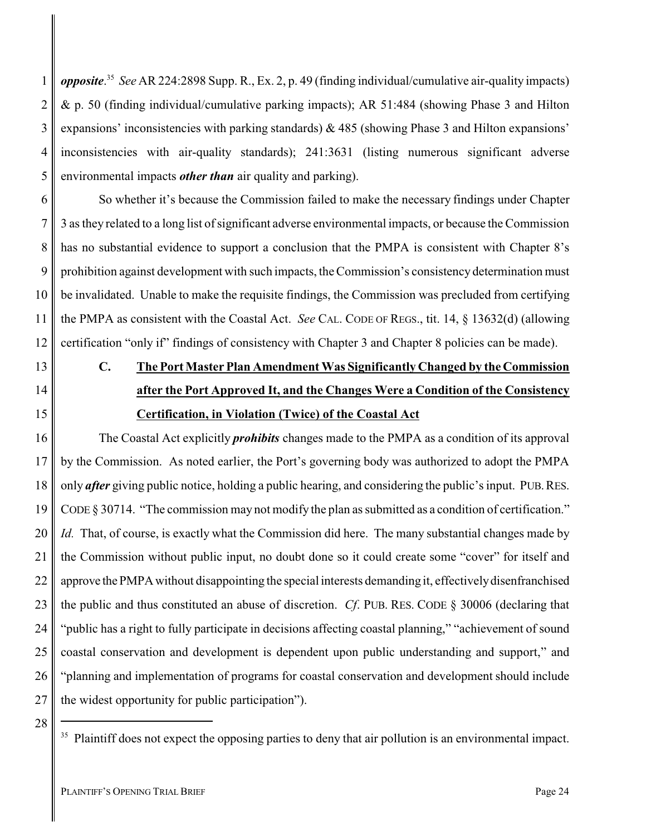1 2 3 4 5 *opposite*. 35 *See* AR 224:2898 Supp. R., Ex. 2, p. 49 (finding individual/cumulative air-quality impacts) & p. 50 (finding individual/cumulative parking impacts); AR 51:484 (showing Phase 3 and Hilton expansions' inconsistencies with parking standards)  $\&$  485 (showing Phase 3 and Hilton expansions' inconsistencies with air-quality standards); 241:3631 (listing numerous significant adverse environmental impacts *other than* air quality and parking).

6 7 8 9 10 11 12 So whether it's because the Commission failed to make the necessary findings under Chapter 3 as they related to a long list of significant adverse environmental impacts, or because the Commission has no substantial evidence to support a conclusion that the PMPA is consistent with Chapter 8's prohibition against development with such impacts, the Commission's consistency determination must be invalidated. Unable to make the requisite findings, the Commission was precluded from certifying the PMPA as consistent with the Coastal Act. *See* CAL. CODE OF REGS., tit. 14, § 13632(d) (allowing certification "only if" findings of consistency with Chapter 3 and Chapter 8 policies can be made).

# <span id="page-27-0"></span>**C. The Port Master Plan Amendment Was Significantly Changed by the Commission after the Port Approved It, and the Changes Were a Condition of the Consistency Certification, in Violation (Twice) of the Coastal Act**

16 17 18 19 20 21 22 23 24 25 26 27 The Coastal Act explicitly *prohibits* changes made to the PMPA as a condition of its approval by the Commission. As noted earlier, the Port's governing body was authorized to adopt the PMPA only *after* giving public notice, holding a public hearing, and considering the public's input. PUB.RES. CODE § 30714. "The commission may not modify the plan as submitted as a condition of certification." *Id.* That, of course, is exactly what the Commission did here. The many substantial changes made by the Commission without public input, no doubt done so it could create some "cover" for itself and approve the PMPA without disappointing the special interests demanding it, effectively disenfranchised the public and thus constituted an abuse of discretion. *Cf*. PUB. RES. CODE § 30006 (declaring that "public has a right to fully participate in decisions affecting coastal planning," "achievement of sound coastal conservation and development is dependent upon public understanding and support," and "planning and implementation of programs for coastal conservation and development should include the widest opportunity for public participation").

28

13

14

<sup>&</sup>lt;sup>35</sup> Plaintiff does not expect the opposing parties to deny that air pollution is an environmental impact.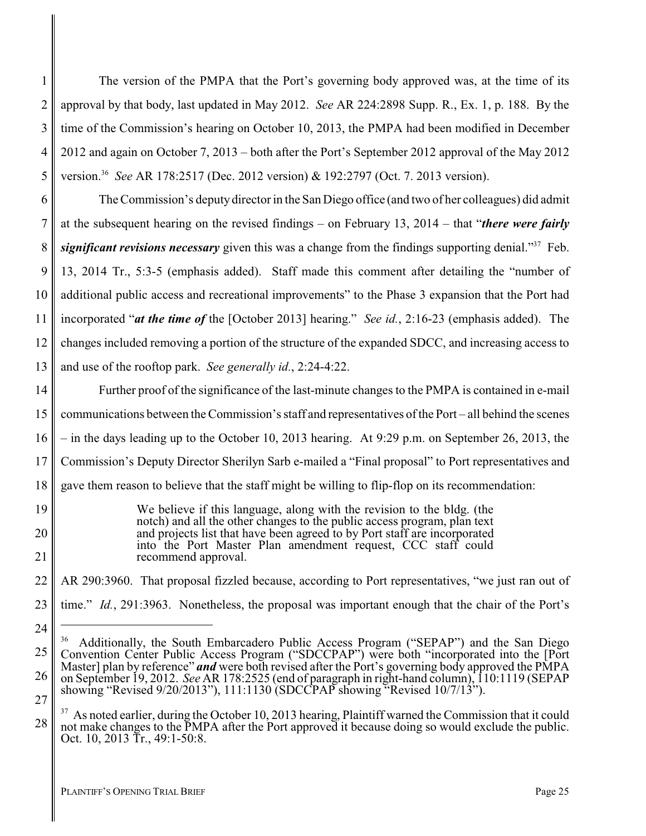1 2 3 4 5 The version of the PMPA that the Port's governing body approved was, at the time of its approval by that body, last updated in May 2012. *See* AR 224:2898 Supp. R., Ex. 1, p. 188. By the time of the Commission's hearing on October 10, 2013, the PMPA had been modified in December 2012 and again on October 7, 2013 – both after the Port's September 2012 approval of the May 2012 version.<sup>36</sup> *See* AR 178:2517 (Dec. 2012 version) & 192:2797 (Oct. 7. 2013 version).

6 7 8 9 10 11 12 13 The Commission's deputy director in the San Diego office (and two of her colleagues) did admit at the subsequent hearing on the revised findings – on February 13, 2014 – that "*there were fairly significant revisions necessary* given this was a change from the findings supporting denial."<sup>37</sup> Feb. 13, 2014 Tr., 5:3-5 (emphasis added). Staff made this comment after detailing the "number of additional public access and recreational improvements" to the Phase 3 expansion that the Port had incorporated "*at the time of* the [October 2013] hearing." *See id.*, 2:16-23 (emphasis added). The changes included removing a portion of the structure of the expanded SDCC, and increasing access to and use of the rooftop park. *See generally id.*, 2:24-4:22.

14 15 16 17 18 Further proof of the significance of the last-minute changes to the PMPA is contained in e-mail communications between the Commission's staff and representatives of the Port – all behind the scenes – in the days leading up to the October 10, 2013 hearing. At 9:29 p.m. on September 26, 2013, the Commission's Deputy Director Sherilyn Sarb e-mailed a "Final proposal" to Port representatives and gave them reason to believe that the staff might be willing to flip-flop on its recommendation:

> We believe if this language, along with the revision to the bldg. (the notch) and all the other changes to the public access program, plan text and projects list that have been agreed to by Port staff are incorporated into the Port Master Plan amendment request, CCC staff could recommend approval.

22 AR 290:3960. That proposal fizzled because, according to Port representatives, "we just ran out of

23 time." *Id.*, 291:3963. Nonetheless, the proposal was important enough that the chair of the Port's

19

20

21

24

<sup>25</sup> 26 27 <sup>36</sup> Additionally, the South Embarcadero Public Access Program ("SEPAP") and the San Diego Convention Center Public Access Program ("SDCCPAP") were both "incorporated into the [Port Master] plan by reference" *and* were both revised after the Port's governing body approved the PMPA on September 19, 2012. *See* AR 178:2525 (end of paragraph in right-hand column), 110:1119 (SEPAP showing "Revised 9/20/2013"), 111:1130 (SDCCPAP showing "Revised 10/7/13").

<sup>&</sup>lt;sup>37</sup> As noted earlier, during the October 10, 2013 hearing, Plaintiff warned the Commission that it could not make changes to the PMPA after the Port approved it because doing so would exclude the public. Oct. 10, 2013 Tr., 49:1-50:8.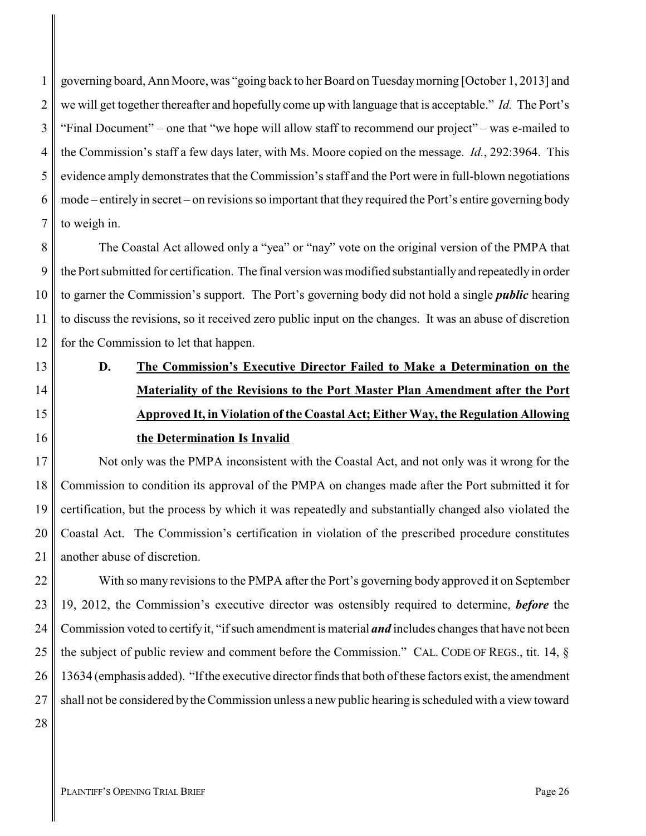1 2 3 4 5 6 7 governing board, Ann Moore, was "going back to her Board on Tuesdaymorning [October 1, 2013] and we will get together thereafter and hopefully come up with language that is acceptable." *Id.* The Port's "Final Document" – one that "we hope will allow staff to recommend our project" – was e-mailed to the Commission's staff a few days later, with Ms. Moore copied on the message. *Id.*, 292:3964. This evidence amply demonstrates that the Commission's staff and the Port were in full-blown negotiations mode – entirely in secret – on revisions so important that they required the Port's entire governing body to weigh in.

8 9 10 11 12 The Coastal Act allowed only a "yea" or "nay" vote on the original version of the PMPA that the Port submitted for certification. The final version was modified substantiallyand repeatedlyin order to garner the Commission's support. The Port's governing body did not hold a single *public* hearing to discuss the revisions, so it received zero public input on the changes. It was an abuse of discretion for the Commission to let that happen.

# <span id="page-29-0"></span>**D. The Commission's Executive Director Failed to Make a Determination on the Materiality of the Revisions to the Port Master Plan Amendment after the Port Approved It, in Violation of the Coastal Act; Either Way, the Regulation Allowing the Determination Is Invalid**

17 18 19 20 21 Not only was the PMPA inconsistent with the Coastal Act, and not only was it wrong for the Commission to condition its approval of the PMPA on changes made after the Port submitted it for certification, but the process by which it was repeatedly and substantially changed also violated the Coastal Act. The Commission's certification in violation of the prescribed procedure constitutes another abuse of discretion.

22 23 24 25 26 27 With so many revisions to the PMPA after the Port's governing body approved it on September 19, 2012, the Commission's executive director was ostensibly required to determine, *before* the Commission voted to certifyit, "if such amendment is material *and* includes changes that have not been the subject of public review and comment before the Commission." CAL. CODE OF REGS., tit. 14, § 13634 (emphasis added). "If the executive director finds that both of these factors exist, the amendment shall not be considered bythe Commission unless a new public hearing is scheduled with a view toward

28

13

14

15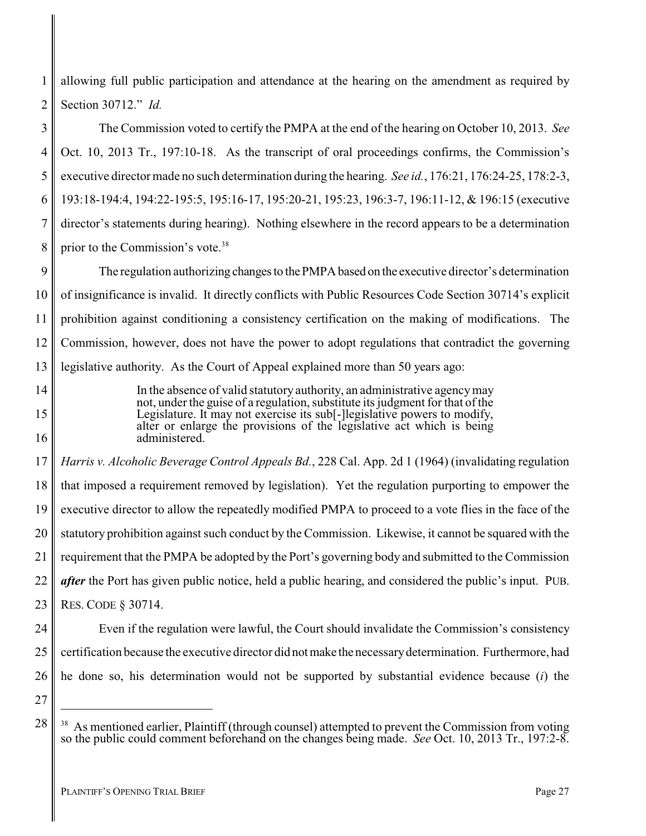1 2 allowing full public participation and attendance at the hearing on the amendment as required by Section 30712." *Id.*

3 4 5 6 7 8 The Commission voted to certify the PMPA at the end of the hearing on October 10, 2013. *See* Oct. 10, 2013 Tr., 197:10-18. As the transcript of oral proceedings confirms, the Commission's executive director made no such determination during the hearing. *See id.*, 176:21, 176:24-25, 178:2-3, 193:18-194:4, 194:22-195:5, 195:16-17, 195:20-21, 195:23, 196:3-7, 196:11-12, & 196:15 (executive director's statements during hearing). Nothing elsewhere in the record appears to be a determination prior to the Commission's vote.<sup>38</sup>

9 10 11 12 13 The regulation authorizing changes to the PMPA based on the executive director's determination of insignificance is invalid. It directly conflicts with Public Resources Code Section 30714's explicit prohibition against conditioning a consistency certification on the making of modifications. The Commission, however, does not have the power to adopt regulations that contradict the governing legislative authority. As the Court of Appeal explained more than 50 years ago:

> In the absence of valid statutory authority, an administrative agencymay not, under the guise of a regulation, substitute its judgment for that of the Legislature. It may not exercise its sub[-]legislative powers to modify, alter or enlarge the provisions of the legislative act which is being administered.

17 18 19 20 21 22 23 *Harris v. Alcoholic Beverage Control Appeals Bd.*, 228 Cal. App. 2d 1 (1964) (invalidating regulation that imposed a requirement removed by legislation). Yet the regulation purporting to empower the executive director to allow the repeatedly modified PMPA to proceed to a vote flies in the face of the statutory prohibition against such conduct by the Commission. Likewise, it cannot be squared with the requirement that the PMPA be adopted by the Port's governing body and submitted to the Commission *after* the Port has given public notice, held a public hearing, and considered the public's input. PUB. RES. CODE § 30714.

24 25

14

15

16

26 Even if the regulation were lawful, the Court should invalidate the Commission's consistency certification because the executive director did notmake the necessarydetermination. Furthermore, had he done so, his determination would not be supported by substantial evidence because (*i*) the

27

As mentioned earlier, Plaintiff (through counsel) attempted to prevent the Commission from voting so the public could comment beforehand on the changes being made. *See* Oct. 10, 2013 Tr., 197:2-8.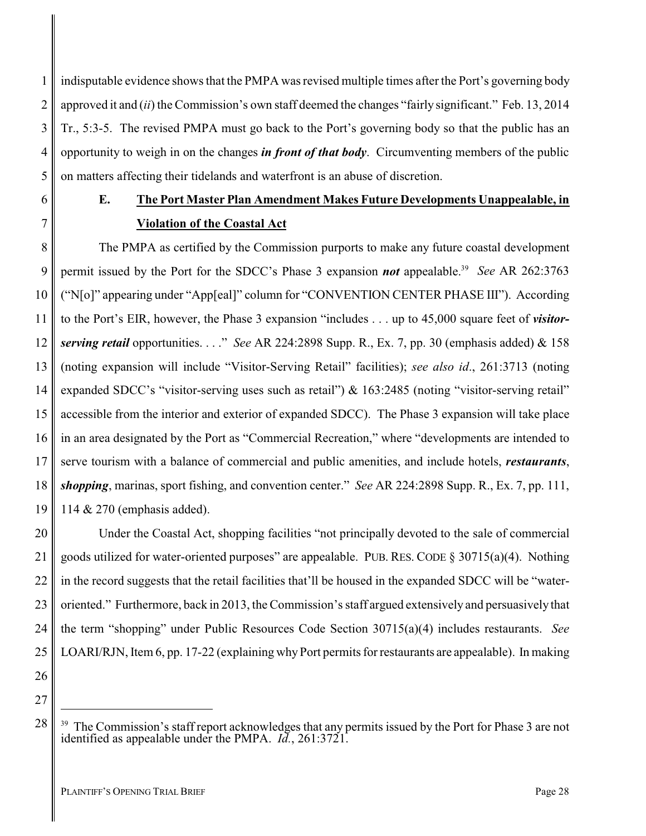1 2 3 4 5 indisputable evidence shows that the PMPA was revised multiple times after the Port's governing body approved it and (*ii*) the Commission's own staff deemed the changes "fairly significant." Feb. 13, 2014 Tr., 5:3-5. The revised PMPA must go back to the Port's governing body so that the public has an opportunity to weigh in on the changes *in front of that body*. Circumventing members of the public on matters affecting their tidelands and waterfront is an abuse of discretion.

6

7

## <span id="page-31-0"></span>**E. The Port Master Plan Amendment Makes Future Developments Unappealable, in Violation of the Coastal Act**

8 9 10 11 12 13 14 15 16 17 18 19 The PMPA as certified by the Commission purports to make any future coastal development permit issued by the Port for the SDCC's Phase 3 expansion *not* appealable.<sup>39</sup> See AR 262:3763 ("N[o]" appearing under "App[eal]" column for "CONVENTION CENTER PHASE III"). According to the Port's EIR, however, the Phase 3 expansion "includes . . . up to 45,000 square feet of *visitorserving retail* opportunities. . . ." *See* AR 224:2898 Supp. R., Ex. 7, pp. 30 (emphasis added) & 158 (noting expansion will include "Visitor-Serving Retail" facilities); *see also id*., 261:3713 (noting expanded SDCC's "visitor-serving uses such as retail") & 163:2485 (noting "visitor-serving retail" accessible from the interior and exterior of expanded SDCC). The Phase 3 expansion will take place in an area designated by the Port as "Commercial Recreation," where "developments are intended to serve tourism with a balance of commercial and public amenities, and include hotels, *restaurants*, *shopping*, marinas, sport fishing, and convention center." *See* AR 224:2898 Supp. R., Ex. 7, pp. 111, 114 & 270 (emphasis added).

20 22 23 24 25 Under the Coastal Act, shopping facilities "not principally devoted to the sale of commercial goods utilized for water-oriented purposes" are appealable. PUB. RES. CODE  $\S 30715(a)(4)$ . Nothing in the record suggests that the retail facilities that'll be housed in the expanded SDCC will be "wateroriented." Furthermore, back in 2013, the Commission's staff argued extensively and persuasively that the term "shopping" under Public Resources Code Section 30715(a)(4) includes restaurants. *See* LOARI/RJN, Item 6, pp. 17-22 (explaining why Port permits for restaurants are appealable). In making

26 27

28

<sup>&</sup>lt;sup>39</sup> The Commission's staff report acknowledges that any permits issued by the Port for Phase 3 are not identified as appealable under the PMPA. *Id.*, 261:3721.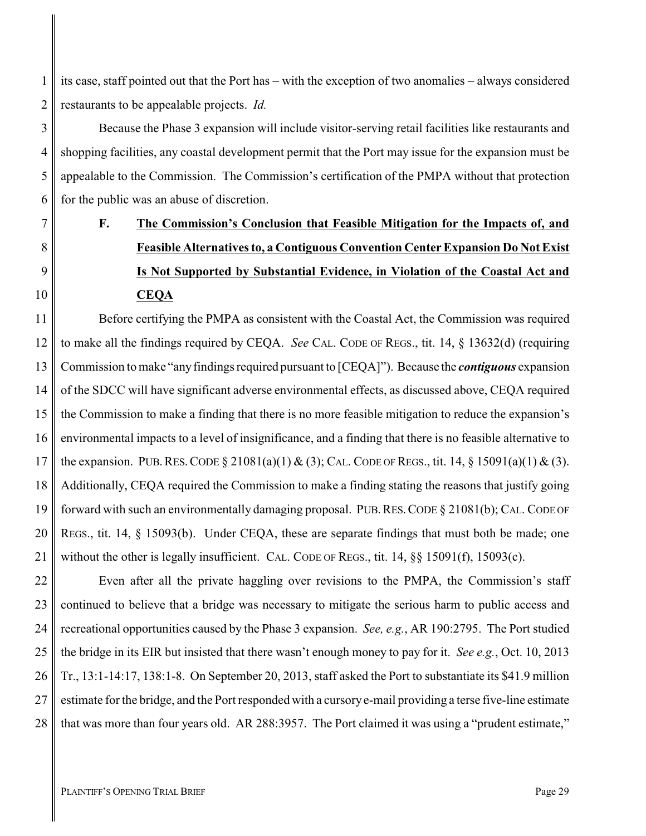1 2 its case, staff pointed out that the Port has – with the exception of two anomalies – always considered restaurants to be appealable projects. *Id.*

3 4 5 6 Because the Phase 3 expansion will include visitor-serving retail facilities like restaurants and shopping facilities, any coastal development permit that the Port may issue for the expansion must be appealable to the Commission. The Commission's certification of the PMPA without that protection for the public was an abuse of discretion.

# <span id="page-32-0"></span>**F. The Commission's Conclusion that Feasible Mitigation for the Impacts of, and Feasible Alternatives to, a Contiguous Convention Center Expansion Do Not Exist Is Not Supported by Substantial Evidence, in Violation of the Coastal Act and CEQA**

11 12 13 14 15 16 17 18 19 20 21 Before certifying the PMPA as consistent with the Coastal Act, the Commission was required to make all the findings required by CEQA. *See* CAL. CODE OF REGS., tit. 14, § 13632(d) (requiring Commission to make "anyfindings required pursuant to [CEQA]"). Because the *contiguous* expansion of the SDCC will have significant adverse environmental effects, as discussed above, CEQA required the Commission to make a finding that there is no more feasible mitigation to reduce the expansion's environmental impacts to a level of insignificance, and a finding that there is no feasible alternative to the expansion. PUB. RES. CODE  $\S 21081(a)(1) \& (3)$ ; CAL. CODE OF REGS., tit. 14,  $\S 15091(a)(1) \& (3)$ . Additionally, CEQA required the Commission to make a finding stating the reasons that justify going forward with such an environmentally damaging proposal. PUB.RES.CODE § 21081(b); CAL. CODE OF REGS., tit. 14, § 15093(b). Under CEQA, these are separate findings that must both be made; one without the other is legally insufficient. CAL. CODE OF REGS., tit. 14, §§ 15091(f), 15093(c).

22 23 24 25 26 27 28 Even after all the private haggling over revisions to the PMPA, the Commission's staff continued to believe that a bridge was necessary to mitigate the serious harm to public access and recreational opportunities caused by the Phase 3 expansion. *See, e.g.*, AR 190:2795. The Port studied the bridge in its EIR but insisted that there wasn't enough money to pay for it. *See e.g.*, Oct. 10, 2013 Tr., 13:1-14:17, 138:1-8. On September 20, 2013, staff asked the Port to substantiate its \$41.9 million estimate for the bridge, and the Port responded with a cursorye-mail providing a terse five-line estimate that was more than four years old. AR 288:3957. The Port claimed it was using a "prudent estimate,"

7

8

9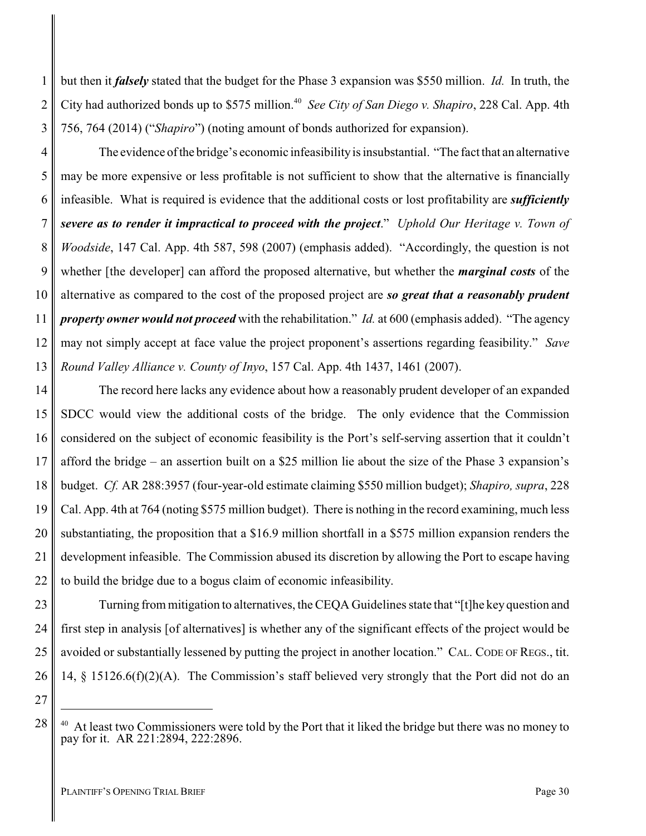but then it *falsely* stated that the budget for the Phase 3 expansion was \$550 million. *Id.* In truth, the City had authorized bonds up to \$575 million.<sup>40</sup> See City of San Diego v. Shapiro, 228 Cal. App. 4th 756, 764 (2014) ("*Shapiro*") (noting amount of bonds authorized for expansion).

4 5 6 7 8 9 10 12 13 The evidence ofthe bridge's economic infeasibilityis insubstantial. "The fact that an alternative may be more expensive or less profitable is not sufficient to show that the alternative is financially infeasible. What is required is evidence that the additional costs or lost profitability are *sufficiently severe as to render it impractical to proceed with the project*." *Uphold Our Heritage v. Town of Woodside*, 147 Cal. App. 4th 587, 598 (2007) (emphasis added). "Accordingly, the question is not whether [the developer] can afford the proposed alternative, but whether the *marginal costs* of the alternative as compared to the cost of the proposed project are *so great that a reasonably prudent property owner would not proceed* with the rehabilitation." *Id.* at 600 (emphasis added). "The agency may not simply accept at face value the project proponent's assertions regarding feasibility." *Save Round Valley Alliance v. County of Inyo*, 157 Cal. App. 4th 1437, 1461 (2007).

14 15 16 17 18 19 20 21 22 The record here lacks any evidence about how a reasonably prudent developer of an expanded SDCC would view the additional costs of the bridge. The only evidence that the Commission considered on the subject of economic feasibility is the Port's self-serving assertion that it couldn't afford the bridge – an assertion built on a \$25 million lie about the size of the Phase 3 expansion's budget. *Cf.* AR 288:3957 (four-year-old estimate claiming \$550 million budget); *Shapiro, supra*, 228 Cal. App. 4th at 764 (noting \$575 million budget). There is nothing in the record examining, much less substantiating, the proposition that a \$16.9 million shortfall in a \$575 million expansion renders the development infeasible. The Commission abused its discretion by allowing the Port to escape having to build the bridge due to a bogus claim of economic infeasibility.

23 24 25 26 Turning from mitigation to alternatives, the CEQA Guidelines state that "[t]he key question and first step in analysis [of alternatives] is whether any of the significant effects of the project would be avoided or substantially lessened by putting the project in another location." CAL. CODE OF REGS., tit. 14, § 15126.6(f)(2)(A). The Commission's staff believed very strongly that the Port did not do an

27

28

1

2

3

At least two Commissioners were told by the Port that it liked the bridge but there was no money to pay for it. AR 221:2894, 222:2896.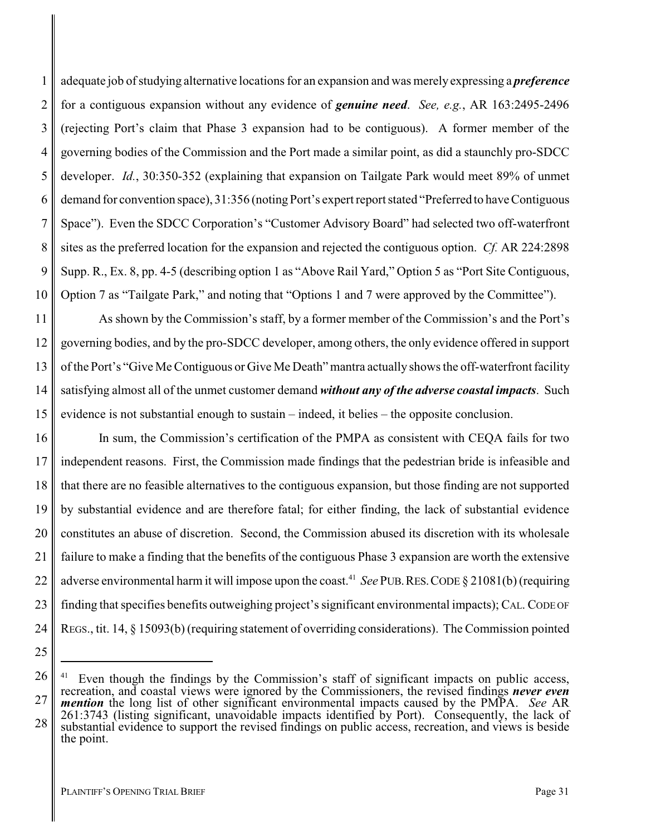1 2 3 4 5 6 7 8 9 10 adequate job of studying alternative locations for an expansion and was merely expressing a *preference* for a contiguous expansion without any evidence of *genuine need*. *See, e.g.*, AR 163:2495-2496 (rejecting Port's claim that Phase 3 expansion had to be contiguous). A former member of the governing bodies of the Commission and the Port made a similar point, as did a staunchly pro-SDCC developer. *Id.*, 30:350-352 (explaining that expansion on Tailgate Park would meet 89% of unmet demand for convention space), 31:356 (noting Port's expert report stated "Preferred to have Contiguous Space"). Even the SDCC Corporation's "Customer Advisory Board" had selected two off-waterfront sites as the preferred location for the expansion and rejected the contiguous option. *Cf.* AR 224:2898 Supp. R., Ex. 8, pp. 4-5 (describing option 1 as "Above Rail Yard," Option 5 as "Port Site Contiguous, Option 7 as "Tailgate Park," and noting that "Options 1 and 7 were approved by the Committee").

11 12 13 14 15 As shown by the Commission's staff, by a former member of the Commission's and the Port's governing bodies, and by the pro-SDCC developer, among others, the only evidence offered in support of the Port's "Give Me Contiguous or Give Me Death" mantra actually shows the off-waterfront facility satisfying almost all of the unmet customer demand *without any of the adverse coastal impacts*. Such evidence is not substantial enough to sustain – indeed, it belies – the opposite conclusion.

16 17 18 19 20 21 22 23 24 In sum, the Commission's certification of the PMPA as consistent with CEQA fails for two independent reasons. First, the Commission made findings that the pedestrian bride is infeasible and that there are no feasible alternatives to the contiguous expansion, but those finding are not supported by substantial evidence and are therefore fatal; for either finding, the lack of substantial evidence constitutes an abuse of discretion. Second, the Commission abused its discretion with its wholesale failure to make a finding that the benefits of the contiguous Phase 3 expansion are worth the extensive adverse environmental harm it will impose upon the coast.<sup>41</sup> See PUB. RES. CODE § 21081(b) (requiring finding that specifies benefits outweighing project's significant environmental impacts); CAL. CODE OF REGS., tit. 14, § 15093(b) (requiring statement of overriding considerations). The Commission pointed

<sup>26</sup>

<sup>27</sup> 28 Even though the findings by the Commission's staff of significant impacts on public access, recreation, and coastal views were ignored by the Commissioners, the revised findings *never even mention* the long list of other significant environmental impacts caused by the PMPA. *See* AR 261:3743 (listing significant, unavoidable impacts identified by Port). Consequently, the lack of substantial evidence to support the revised findings on public access, recreation, and views is beside the point.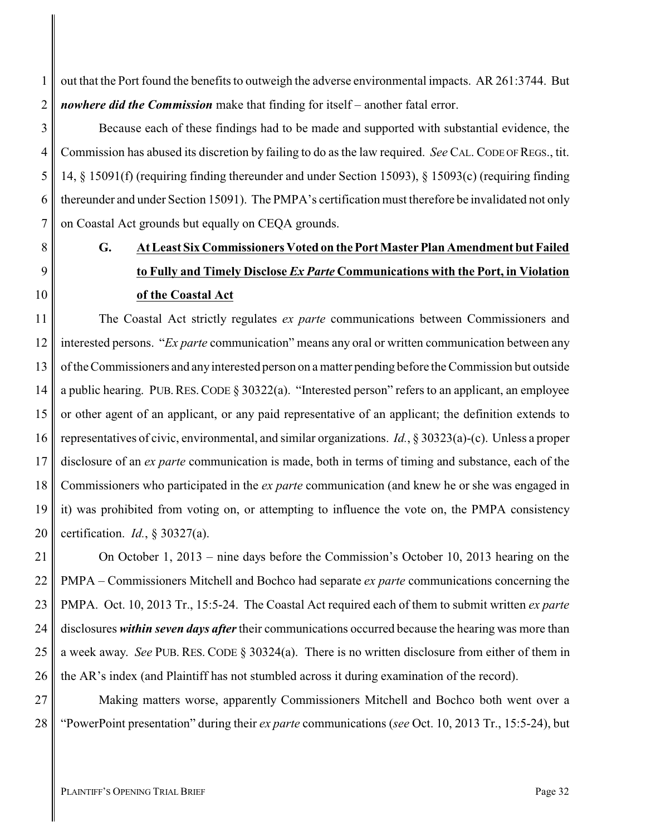out that the Port found the benefits to outweigh the adverse environmental impacts. AR 261:3744. But *nowhere did the Commission* make that finding for itself – another fatal error.

Because each of these findings had to be made and supported with substantial evidence, the Commission has abused its discretion by failing to do as the law required. *See* CAL. CODE OF REGS., tit. 14, § 15091(f) (requiring finding thereunder and under Section 15093), § 15093(c) (requiring finding thereunder and under Section 15091). The PMPA's certification must therefore be invalidated not only on Coastal Act grounds but equally on CEQA grounds.

# <span id="page-35-0"></span>**G. At Least Six Commissioners Voted on the Port Master Plan Amendment but Failed to Fully and Timely Disclose** *Ex Parte* **Communications with the Port, in Violation of the Coastal Act**

11 12 13 14 15 16 17 18 19 20 The Coastal Act strictly regulates *ex parte* communications between Commissioners and interested persons. "*Ex parte* communication" means any oral or written communication between any of the Commissioners and anyinterested person on a matter pending before the Commission but outside a public hearing. PUB.RES.CODE § 30322(a). "Interested person" refers to an applicant, an employee or other agent of an applicant, or any paid representative of an applicant; the definition extends to representatives of civic, environmental, and similar organizations. *Id.*, § 30323(a)-(c). Unless a proper disclosure of an *ex parte* communication is made, both in terms of timing and substance, each of the Commissioners who participated in the *ex parte* communication (and knew he or she was engaged in it) was prohibited from voting on, or attempting to influence the vote on, the PMPA consistency certification. *Id.*, § 30327(a).

21 22 23 24 25 26 On October 1, 2013 – nine days before the Commission's October 10, 2013 hearing on the PMPA – Commissioners Mitchell and Bochco had separate *ex parte* communications concerning the PMPA. Oct. 10, 2013 Tr., 15:5-24. The Coastal Act required each of them to submit written *ex parte* disclosures *within seven days after*their communications occurred because the hearing was more than a week away. *See* PUB. RES. CODE § 30324(a). There is no written disclosure from either of them in the AR's index (and Plaintiff has not stumbled across it during examination of the record).

27 28 Making matters worse, apparently Commissioners Mitchell and Bochco both went over a "PowerPoint presentation" during their *ex parte* communications (*see* Oct. 10, 2013 Tr., 15:5-24), but

1

2

3

4

5

6

7

8

9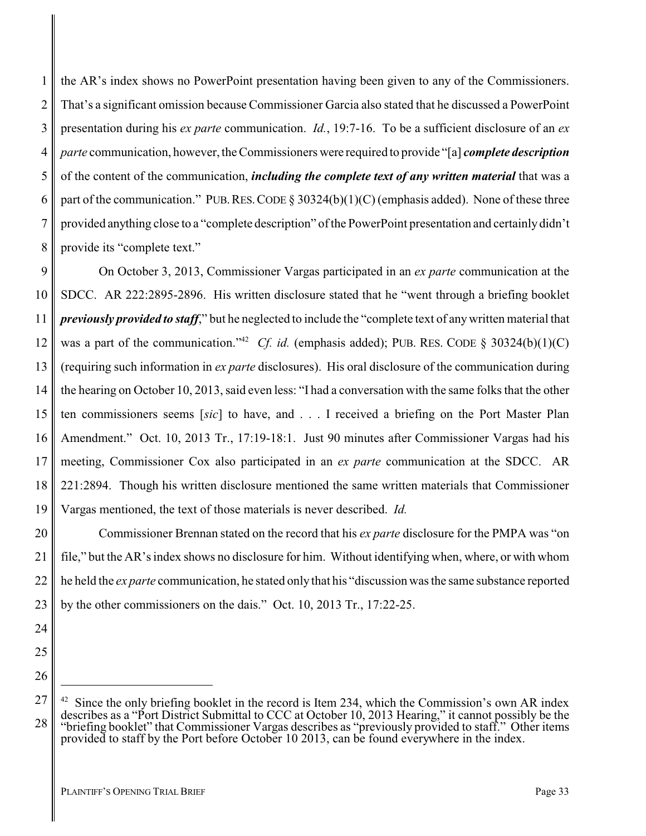1 2 3 4 5 6 7 8 the AR's index shows no PowerPoint presentation having been given to any of the Commissioners. That's a significant omission because Commissioner Garcia also stated that he discussed a PowerPoint presentation during his *ex parte* communication. *Id.*, 19:7-16. To be a sufficient disclosure of an *ex parte* communication, however, the Commissioners were required to provide "[a] *complete description* of the content of the communication, *including the complete text of any written material* that was a part of the communication." PUB. RES. CODE  $\S 30324(b)(1)(C)$  (emphasis added). None of these three provided anything close to a "complete description" of the PowerPoint presentation and certainlydidn't provide its "complete text."

9 10 11 12 13 14 15 16 17 18 19 On October 3, 2013, Commissioner Vargas participated in an *ex parte* communication at the SDCC. AR 222:2895-2896. His written disclosure stated that he "went through a briefing booklet *previously provided to staff*," but he neglected to include the "complete text of anywritten material that was a part of the communication."<sup>42</sup> *Cf. id.* (emphasis added); PUB. RES. CODE § 30324(b)(1)(C) (requiring such information in *ex parte* disclosures). His oral disclosure of the communication during the hearing on October 10, 2013, said even less: "I had a conversation with the same folks that the other ten commissioners seems [*sic*] to have, and . . . I received a briefing on the Port Master Plan Amendment." Oct. 10, 2013 Tr., 17:19-18:1. Just 90 minutes after Commissioner Vargas had his meeting, Commissioner Cox also participated in an *ex parte* communication at the SDCC. AR 221:2894. Though his written disclosure mentioned the same written materials that Commissioner Vargas mentioned, the text of those materials is never described. *Id.*

20 21 22 23 Commissioner Brennan stated on the record that his *ex parte* disclosure for the PMPA was "on file," but the AR's index shows no disclosure for him. Without identifying when, where, or with whom he held the *ex parte* communication, he stated only that his "discussion was the same substance reported by the other commissioners on the dais." Oct. 10, 2013 Tr., 17:22-25.

27

<sup>24</sup>

<sup>25</sup>

<sup>26</sup>

 $42$  Since the only briefing booklet in the record is Item 234, which the Commission's own AR index describes as a "Port District Submittal to CCC at October 10, 2013 Hearing," it cannot possibly be the "briefing booklet" that Commissioner Vargas describes as "previously provided to staff." Other items provided to staff by the Port before October 10 2013, can be found everywhere in the index.